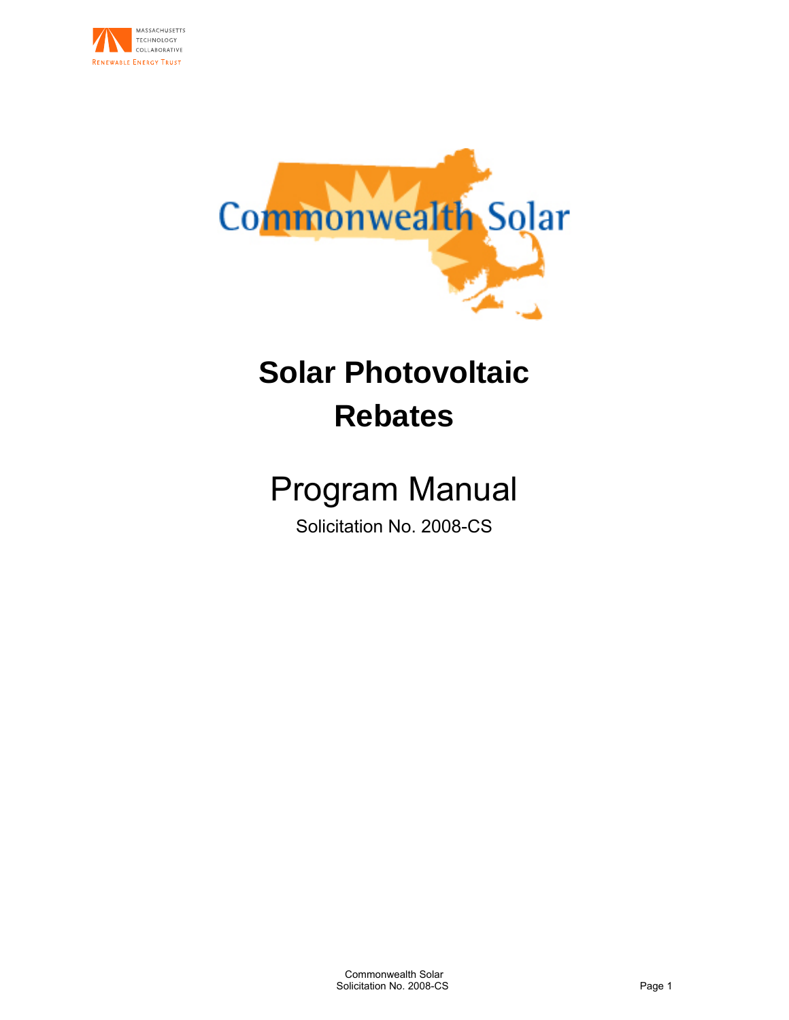



# **Solar Photovoltaic Rebates**

# Program Manual

Solicitation No. 2008-CS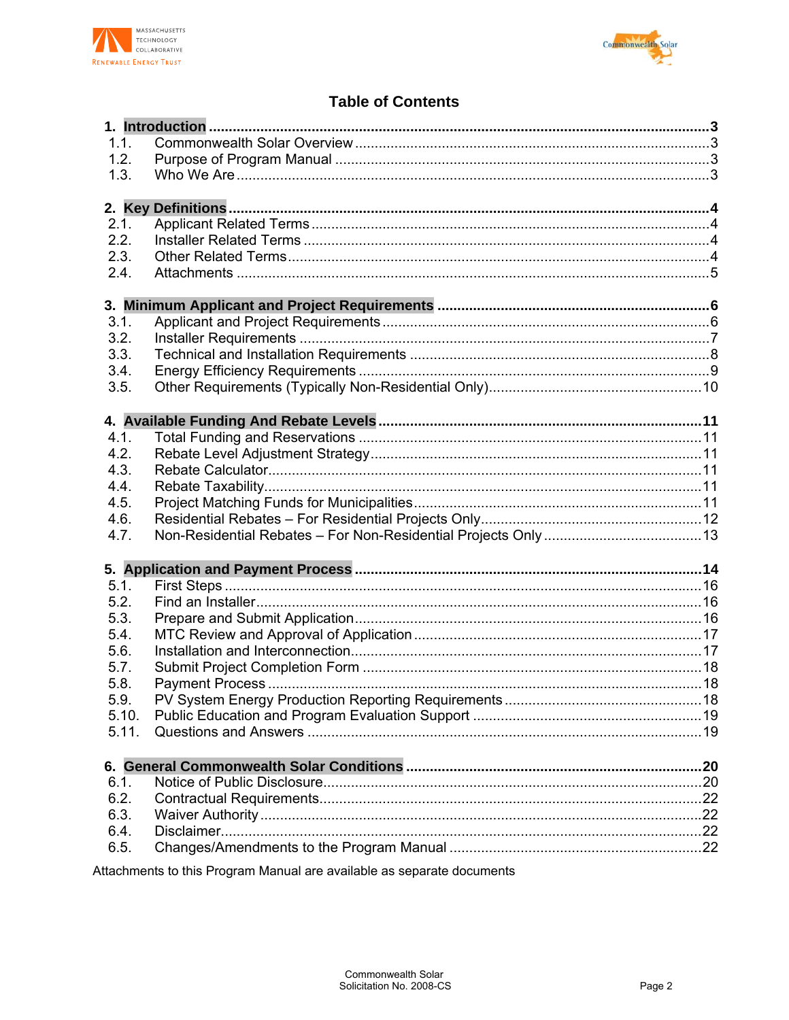



# **Table of Contents**

| 1.1.         |  |
|--------------|--|
| 1.2.         |  |
| 1.3.         |  |
|              |  |
|              |  |
| 2.1.         |  |
| 2.2.         |  |
| 2.3.         |  |
| 2.4.         |  |
|              |  |
|              |  |
| 3.1.         |  |
| 3.2.         |  |
| 3.3.         |  |
| 3.4.         |  |
| 3.5.         |  |
|              |  |
|              |  |
| 4.1.         |  |
| 4.2.         |  |
| 4.3.         |  |
| 4.4.         |  |
| 4.5.         |  |
| 4.6.         |  |
| 4.7.         |  |
|              |  |
| 5.1.         |  |
| 5.2.         |  |
| 5.3.         |  |
|              |  |
| 5.4.<br>5.6. |  |
| 5.7.         |  |
|              |  |
| 5.8.         |  |
| 5.9.         |  |
| 5.10.        |  |
| 5.11.        |  |
|              |  |
| 6.1.         |  |
| 6.2.         |  |
| 6.3.         |  |
| 6.4.         |  |
| 6.5.         |  |
|              |  |

Attachments to this Program Manual are available as separate documents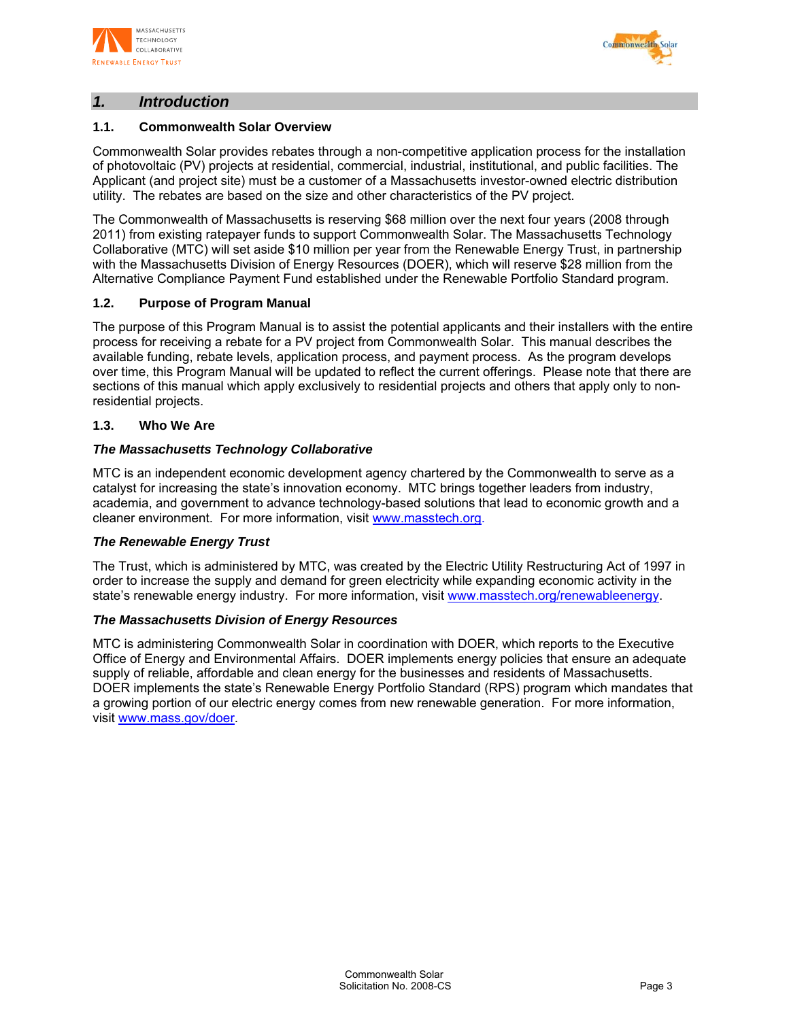



# *1. Introduction*

## **1.1. Commonwealth Solar Overview**

Commonwealth Solar provides rebates through a non-competitive application process for the installation of photovoltaic (PV) projects at residential, commercial, industrial, institutional, and public facilities. The Applicant (and project site) must be a customer of a Massachusetts investor-owned electric distribution utility. The rebates are based on the size and other characteristics of the PV project.

The Commonwealth of Massachusetts is reserving \$68 million over the next four years (2008 through 2011) from existing ratepayer funds to support Commonwealth Solar. The Massachusetts Technology Collaborative (MTC) will set aside \$10 million per year from the Renewable Energy Trust, in partnership with the Massachusetts Division of Energy Resources (DOER), which will reserve \$28 million from the Alternative Compliance Payment Fund established under the Renewable Portfolio Standard program.

## **1.2. Purpose of Program Manual**

The purpose of this Program Manual is to assist the potential applicants and their installers with the entire process for receiving a rebate for a PV project from Commonwealth Solar. This manual describes the available funding, rebate levels, application process, and payment process. As the program develops over time, this Program Manual will be updated to reflect the current offerings. Please note that there are sections of this manual which apply exclusively to residential projects and others that apply only to nonresidential projects.

#### **1.3. Who We Are**

#### *The Massachusetts Technology Collaborative*

MTC is an independent economic development agency chartered by the Commonwealth to serve as a catalyst for increasing the state's innovation economy. MTC brings together leaders from industry, academia, and government to advance technology-based solutions that lead to economic growth and a cleaner environment. For more information, visit www.masstech.org.

#### *The Renewable Energy Trust*

The Trust, which is administered by MTC, was created by the Electric Utility Restructuring Act of 1997 in order to increase the supply and demand for green electricity while expanding economic activity in the state's renewable energy industry. For more information, visit www.masstech.org/renewableenergy.

#### *The Massachusetts Division of Energy Resources*

MTC is administering Commonwealth Solar in coordination with DOER, which reports to the Executive Office of Energy and Environmental Affairs. DOER implements energy policies that ensure an adequate supply of reliable, affordable and clean energy for the businesses and residents of Massachusetts. DOER implements the state's Renewable Energy Portfolio Standard (RPS) program which mandates that a growing portion of our electric energy comes from new renewable generation. For more information, visit www.mass.gov/doer.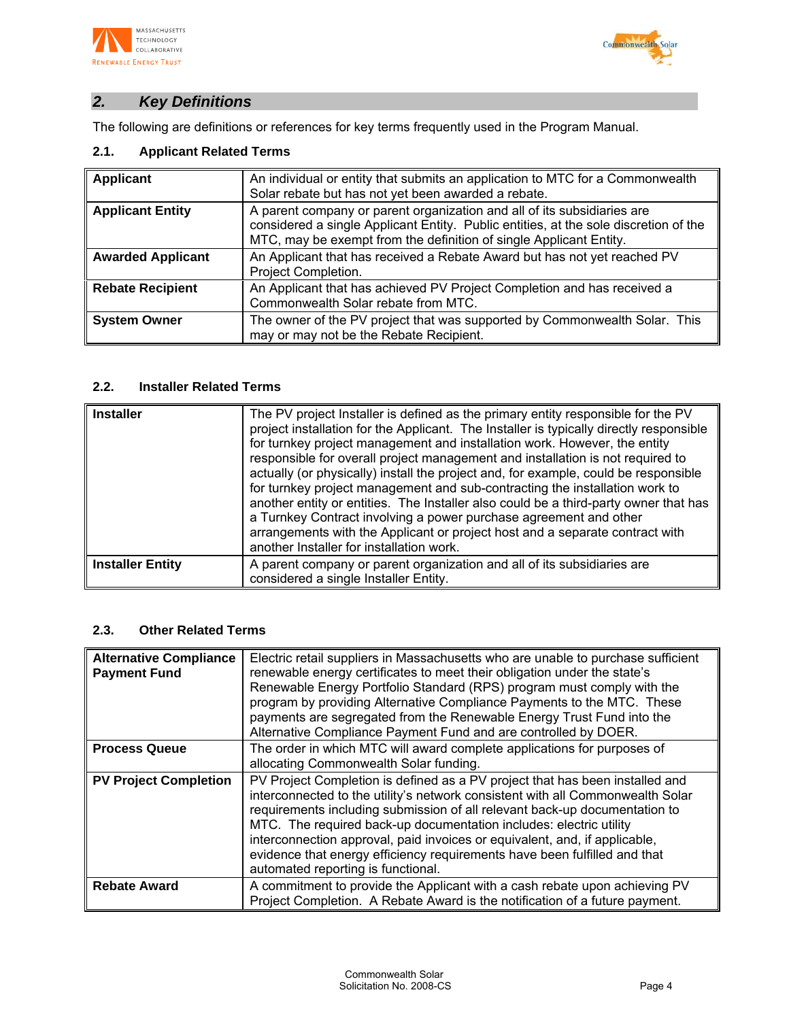



# *2. Key Definitions*

The following are definitions or references for key terms frequently used in the Program Manual.

# **2.1. Applicant Related Terms**

| Applicant                | An individual or entity that submits an application to MTC for a Commonwealth<br>Solar rebate but has not yet been awarded a rebate.                                                                                                  |
|--------------------------|---------------------------------------------------------------------------------------------------------------------------------------------------------------------------------------------------------------------------------------|
| <b>Applicant Entity</b>  | A parent company or parent organization and all of its subsidiaries are<br>considered a single Applicant Entity. Public entities, at the sole discretion of the<br>MTC, may be exempt from the definition of single Applicant Entity. |
| <b>Awarded Applicant</b> | An Applicant that has received a Rebate Award but has not yet reached PV<br>Project Completion.                                                                                                                                       |
| <b>Rebate Recipient</b>  | An Applicant that has achieved PV Project Completion and has received a<br>Commonwealth Solar rebate from MTC.                                                                                                                        |
| <b>System Owner</b>      | The owner of the PV project that was supported by Commonwealth Solar. This<br>may or may not be the Rebate Recipient.                                                                                                                 |

# **2.2. Installer Related Terms**

| <b>Installer</b>        | The PV project Installer is defined as the primary entity responsible for the PV<br>project installation for the Applicant. The Installer is typically directly responsible<br>for turnkey project management and installation work. However, the entity<br>responsible for overall project management and installation is not required to<br>actually (or physically) install the project and, for example, could be responsible<br>for turnkey project management and sub-contracting the installation work to<br>another entity or entities. The Installer also could be a third-party owner that has<br>a Turnkey Contract involving a power purchase agreement and other<br>arrangements with the Applicant or project host and a separate contract with<br>another Installer for installation work. |
|-------------------------|-----------------------------------------------------------------------------------------------------------------------------------------------------------------------------------------------------------------------------------------------------------------------------------------------------------------------------------------------------------------------------------------------------------------------------------------------------------------------------------------------------------------------------------------------------------------------------------------------------------------------------------------------------------------------------------------------------------------------------------------------------------------------------------------------------------|
| <b>Installer Entity</b> | A parent company or parent organization and all of its subsidiaries are<br>considered a single Installer Entity.                                                                                                                                                                                                                                                                                                                                                                                                                                                                                                                                                                                                                                                                                          |

## **2.3. Other Related Terms**

| <b>Alternative Compliance</b><br><b>Payment Fund</b> | Electric retail suppliers in Massachusetts who are unable to purchase sufficient<br>renewable energy certificates to meet their obligation under the state's<br>Renewable Energy Portfolio Standard (RPS) program must comply with the<br>program by providing Alternative Compliance Payments to the MTC. These<br>payments are segregated from the Renewable Energy Trust Fund into the<br>Alternative Compliance Payment Fund and are controlled by DOER.                                                        |
|------------------------------------------------------|---------------------------------------------------------------------------------------------------------------------------------------------------------------------------------------------------------------------------------------------------------------------------------------------------------------------------------------------------------------------------------------------------------------------------------------------------------------------------------------------------------------------|
| <b>Process Queue</b>                                 | The order in which MTC will award complete applications for purposes of<br>allocating Commonwealth Solar funding.                                                                                                                                                                                                                                                                                                                                                                                                   |
| <b>PV Project Completion</b>                         | PV Project Completion is defined as a PV project that has been installed and<br>interconnected to the utility's network consistent with all Commonwealth Solar<br>requirements including submission of all relevant back-up documentation to<br>MTC. The required back-up documentation includes: electric utility<br>interconnection approval, paid invoices or equivalent, and, if applicable,<br>evidence that energy efficiency requirements have been fulfilled and that<br>automated reporting is functional. |
| <b>Rebate Award</b>                                  | A commitment to provide the Applicant with a cash rebate upon achieving PV<br>Project Completion. A Rebate Award is the notification of a future payment.                                                                                                                                                                                                                                                                                                                                                           |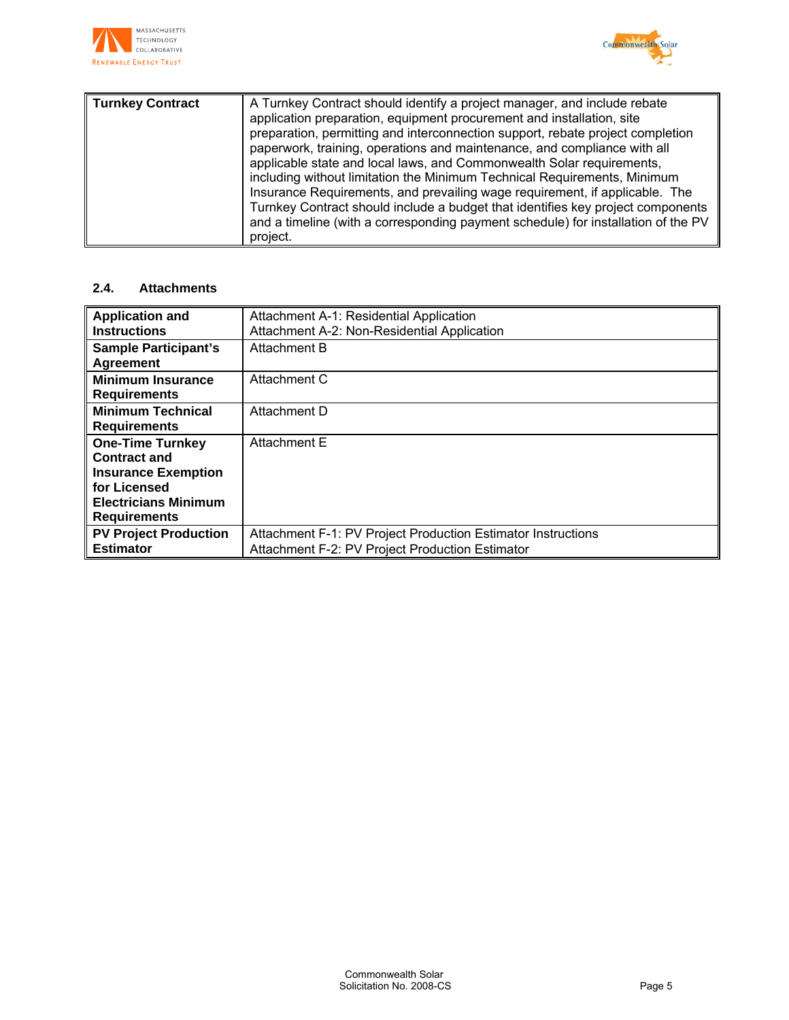



| preparation, permitting and interconnection support, rebate project completion<br>paperwork, training, operations and maintenance, and compliance with all<br>applicable state and local laws, and Commonwealth Solar requirements,<br>including without limitation the Minimum Technical Requirements, Minimum<br>Insurance Requirements, and prevailing wage requirement, if applicable. The<br>project. | <b>Turnkey Contract</b> | A Turnkey Contract should identify a project manager, and include rebate<br>application preparation, equipment procurement and installation, site<br>Turnkey Contract should include a budget that identifies key project components<br>and a timeline (with a corresponding payment schedule) for installation of the PV |
|------------------------------------------------------------------------------------------------------------------------------------------------------------------------------------------------------------------------------------------------------------------------------------------------------------------------------------------------------------------------------------------------------------|-------------------------|---------------------------------------------------------------------------------------------------------------------------------------------------------------------------------------------------------------------------------------------------------------------------------------------------------------------------|
|------------------------------------------------------------------------------------------------------------------------------------------------------------------------------------------------------------------------------------------------------------------------------------------------------------------------------------------------------------------------------------------------------------|-------------------------|---------------------------------------------------------------------------------------------------------------------------------------------------------------------------------------------------------------------------------------------------------------------------------------------------------------------------|

# **2.4. Attachments**

| <b>Application and</b>       | Attachment A-1: Residential Application                      |
|------------------------------|--------------------------------------------------------------|
| <b>Instructions</b>          | Attachment A-2: Non-Residential Application                  |
| <b>Sample Participant's</b>  | Attachment B                                                 |
| <b>Agreement</b>             |                                                              |
| <b>Minimum Insurance</b>     | Attachment C                                                 |
| <b>Requirements</b>          |                                                              |
| <b>Minimum Technical</b>     | Attachment D                                                 |
| <b>Requirements</b>          |                                                              |
| <b>One-Time Turnkey</b>      | <b>Attachment E</b>                                          |
| <b>Contract and</b>          |                                                              |
| <b>Insurance Exemption</b>   |                                                              |
| for Licensed                 |                                                              |
| <b>Electricians Minimum</b>  |                                                              |
| <b>Requirements</b>          |                                                              |
| <b>PV Project Production</b> | Attachment F-1: PV Project Production Estimator Instructions |
| <b>Estimator</b>             | Attachment F-2: PV Project Production Estimator              |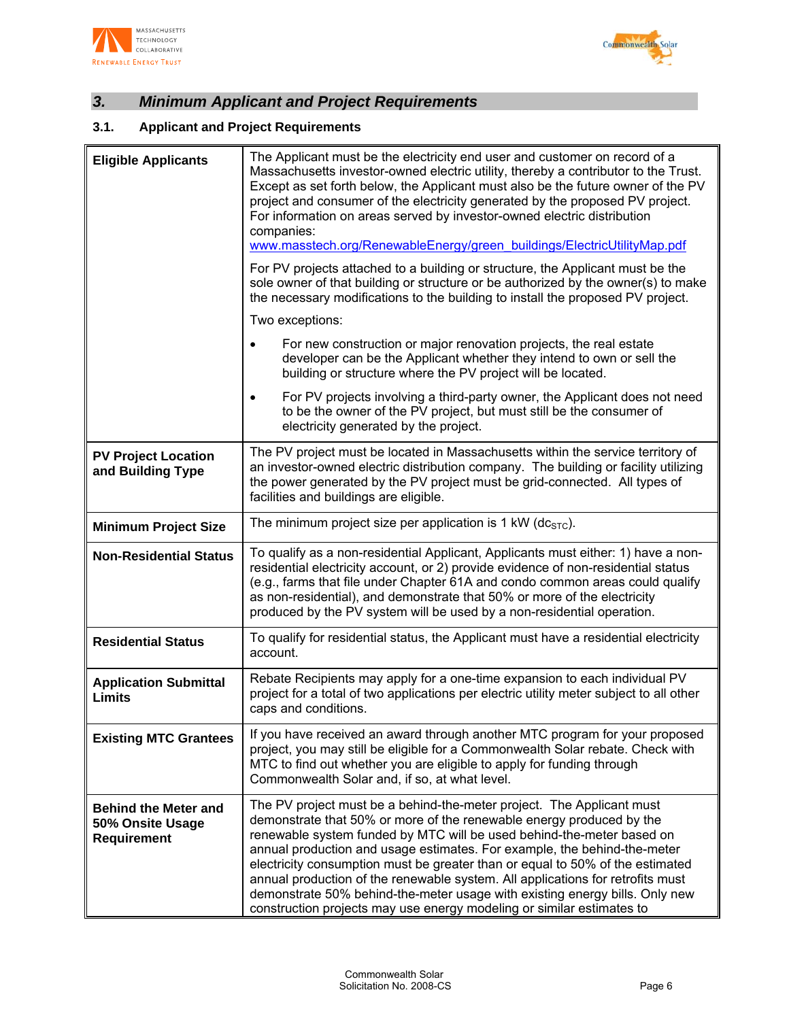



# *3. Minimum Applicant and Project Requirements*

# **3.1. Applicant and Project Requirements**

| <b>Eligible Applicants</b>                                            | The Applicant must be the electricity end user and customer on record of a<br>Massachusetts investor-owned electric utility, thereby a contributor to the Trust.<br>Except as set forth below, the Applicant must also be the future owner of the PV<br>project and consumer of the electricity generated by the proposed PV project.<br>For information on areas served by investor-owned electric distribution<br>companies:<br>www.masstech.org/RenewableEnergy/green buildings/ElectricUtilityMap.pdf                                                                                                                     |  |
|-----------------------------------------------------------------------|-------------------------------------------------------------------------------------------------------------------------------------------------------------------------------------------------------------------------------------------------------------------------------------------------------------------------------------------------------------------------------------------------------------------------------------------------------------------------------------------------------------------------------------------------------------------------------------------------------------------------------|--|
|                                                                       | For PV projects attached to a building or structure, the Applicant must be the<br>sole owner of that building or structure or be authorized by the owner(s) to make<br>the necessary modifications to the building to install the proposed PV project.                                                                                                                                                                                                                                                                                                                                                                        |  |
|                                                                       | Two exceptions:                                                                                                                                                                                                                                                                                                                                                                                                                                                                                                                                                                                                               |  |
|                                                                       | For new construction or major renovation projects, the real estate<br>$\bullet$<br>developer can be the Applicant whether they intend to own or sell the<br>building or structure where the PV project will be located.                                                                                                                                                                                                                                                                                                                                                                                                       |  |
|                                                                       | For PV projects involving a third-party owner, the Applicant does not need<br>$\bullet$<br>to be the owner of the PV project, but must still be the consumer of<br>electricity generated by the project.                                                                                                                                                                                                                                                                                                                                                                                                                      |  |
| <b>PV Project Location</b><br>and Building Type                       | The PV project must be located in Massachusetts within the service territory of<br>an investor-owned electric distribution company. The building or facility utilizing<br>the power generated by the PV project must be grid-connected. All types of<br>facilities and buildings are eligible.                                                                                                                                                                                                                                                                                                                                |  |
| <b>Minimum Project Size</b>                                           | The minimum project size per application is 1 kW ( $dcSTC$ ).                                                                                                                                                                                                                                                                                                                                                                                                                                                                                                                                                                 |  |
| <b>Non-Residential Status</b>                                         | To qualify as a non-residential Applicant, Applicants must either: 1) have a non-<br>residential electricity account, or 2) provide evidence of non-residential status<br>(e.g., farms that file under Chapter 61A and condo common areas could qualify<br>as non-residential), and demonstrate that 50% or more of the electricity<br>produced by the PV system will be used by a non-residential operation.                                                                                                                                                                                                                 |  |
| <b>Residential Status</b>                                             | To qualify for residential status, the Applicant must have a residential electricity<br>account.                                                                                                                                                                                                                                                                                                                                                                                                                                                                                                                              |  |
| <b>Application Submittal</b><br>Limits                                | Rebate Recipients may apply for a one-time expansion to each individual PV<br>project for a total of two applications per electric utility meter subject to all other<br>caps and conditions.                                                                                                                                                                                                                                                                                                                                                                                                                                 |  |
| <b>Existing MTC Grantees</b>                                          | If you have received an award through another MTC program for your proposed<br>project, you may still be eligible for a Commonwealth Solar rebate. Check with<br>MTC to find out whether you are eligible to apply for funding through<br>Commonwealth Solar and, if so, at what level.                                                                                                                                                                                                                                                                                                                                       |  |
| <b>Behind the Meter and</b><br>50% Onsite Usage<br><b>Requirement</b> | The PV project must be a behind-the-meter project. The Applicant must<br>demonstrate that 50% or more of the renewable energy produced by the<br>renewable system funded by MTC will be used behind-the-meter based on<br>annual production and usage estimates. For example, the behind-the-meter<br>electricity consumption must be greater than or equal to 50% of the estimated<br>annual production of the renewable system. All applications for retrofits must<br>demonstrate 50% behind-the-meter usage with existing energy bills. Only new<br>construction projects may use energy modeling or similar estimates to |  |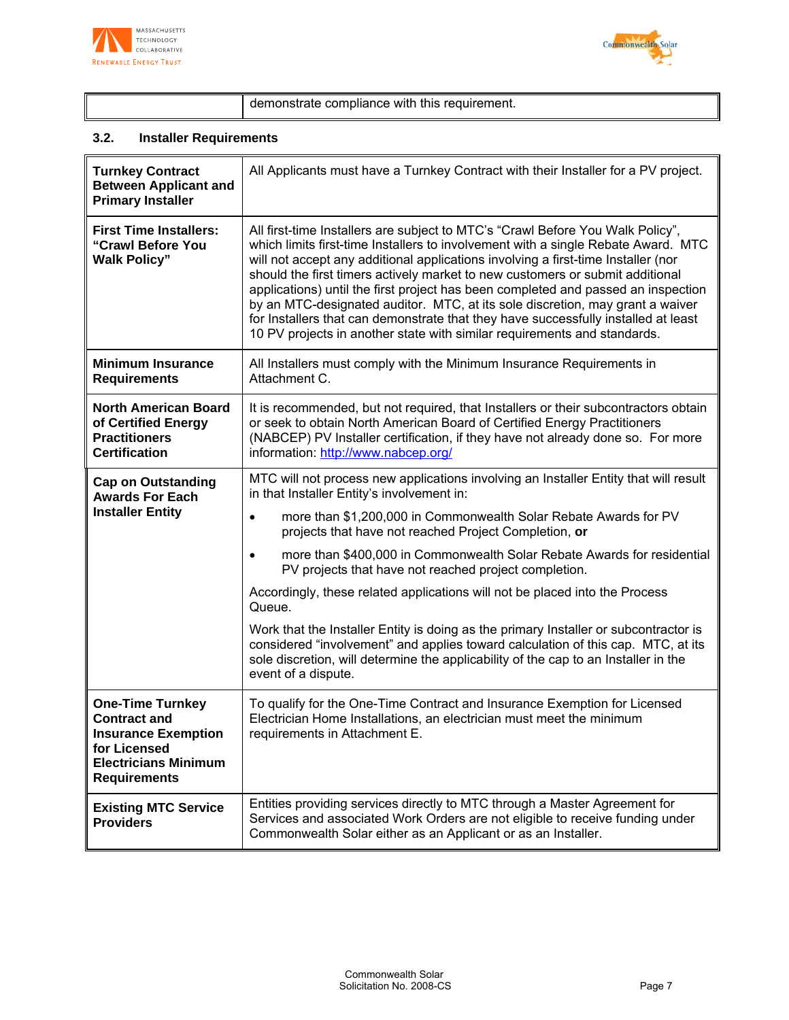



demonstrate compliance with this requirement.

# **3.2. Installer Requirements**

| <b>Turnkey Contract</b><br><b>Between Applicant and</b><br><b>Primary Installer</b>                                                                | All Applicants must have a Turnkey Contract with their Installer for a PV project.                                                                                                                                                                                                                                                                                                                                                                                                                                                                                                                                                                                                |
|----------------------------------------------------------------------------------------------------------------------------------------------------|-----------------------------------------------------------------------------------------------------------------------------------------------------------------------------------------------------------------------------------------------------------------------------------------------------------------------------------------------------------------------------------------------------------------------------------------------------------------------------------------------------------------------------------------------------------------------------------------------------------------------------------------------------------------------------------|
| <b>First Time Installers:</b><br>"Crawl Before You<br><b>Walk Policy"</b>                                                                          | All first-time Installers are subject to MTC's "Crawl Before You Walk Policy",<br>which limits first-time Installers to involvement with a single Rebate Award. MTC<br>will not accept any additional applications involving a first-time Installer (nor<br>should the first timers actively market to new customers or submit additional<br>applications) until the first project has been completed and passed an inspection<br>by an MTC-designated auditor. MTC, at its sole discretion, may grant a waiver<br>for Installers that can demonstrate that they have successfully installed at least<br>10 PV projects in another state with similar requirements and standards. |
| <b>Minimum Insurance</b><br><b>Requirements</b>                                                                                                    | All Installers must comply with the Minimum Insurance Requirements in<br>Attachment C.                                                                                                                                                                                                                                                                                                                                                                                                                                                                                                                                                                                            |
| <b>North American Board</b><br>of Certified Energy<br><b>Practitioners</b><br><b>Certification</b>                                                 | It is recommended, but not required, that Installers or their subcontractors obtain<br>or seek to obtain North American Board of Certified Energy Practitioners<br>(NABCEP) PV Installer certification, if they have not already done so. For more<br>information: http://www.nabcep.org/                                                                                                                                                                                                                                                                                                                                                                                         |
| <b>Cap on Outstanding</b><br><b>Awards For Each</b>                                                                                                | MTC will not process new applications involving an Installer Entity that will result<br>in that Installer Entity's involvement in:                                                                                                                                                                                                                                                                                                                                                                                                                                                                                                                                                |
| <b>Installer Entity</b>                                                                                                                            | more than \$1,200,000 in Commonwealth Solar Rebate Awards for PV<br>$\bullet$<br>projects that have not reached Project Completion, or                                                                                                                                                                                                                                                                                                                                                                                                                                                                                                                                            |
|                                                                                                                                                    | more than \$400,000 in Commonwealth Solar Rebate Awards for residential<br>$\bullet$<br>PV projects that have not reached project completion.                                                                                                                                                                                                                                                                                                                                                                                                                                                                                                                                     |
|                                                                                                                                                    | Accordingly, these related applications will not be placed into the Process<br>Queue.                                                                                                                                                                                                                                                                                                                                                                                                                                                                                                                                                                                             |
|                                                                                                                                                    | Work that the Installer Entity is doing as the primary Installer or subcontractor is<br>considered "involvement" and applies toward calculation of this cap. MTC, at its<br>sole discretion, will determine the applicability of the cap to an Installer in the<br>event of a dispute.                                                                                                                                                                                                                                                                                                                                                                                            |
| <b>One-Time Turnkey</b><br><b>Contract and</b><br><b>Insurance Exemption</b><br>for Licensed<br><b>Electricians Minimum</b><br><b>Requirements</b> | To qualify for the One-Time Contract and Insurance Exemption for Licensed<br>Electrician Home Installations, an electrician must meet the minimum<br>requirements in Attachment E.                                                                                                                                                                                                                                                                                                                                                                                                                                                                                                |
| <b>Existing MTC Service</b><br><b>Providers</b>                                                                                                    | Entities providing services directly to MTC through a Master Agreement for<br>Services and associated Work Orders are not eligible to receive funding under<br>Commonwealth Solar either as an Applicant or as an Installer.                                                                                                                                                                                                                                                                                                                                                                                                                                                      |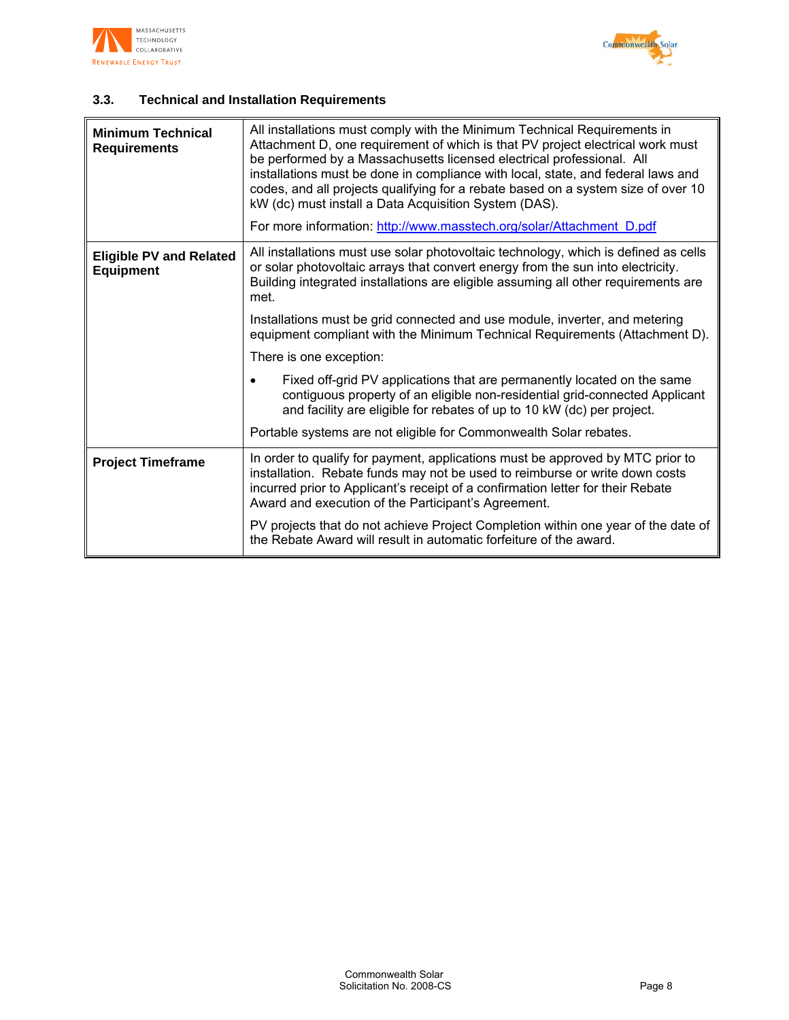



# **3.3. Technical and Installation Requirements**

| <b>Minimum Technical</b><br><b>Requirements</b>    | All installations must comply with the Minimum Technical Requirements in<br>Attachment D, one requirement of which is that PV project electrical work must<br>be performed by a Massachusetts licensed electrical professional. All<br>installations must be done in compliance with local, state, and federal laws and<br>codes, and all projects qualifying for a rebate based on a system size of over 10<br>kW (dc) must install a Data Acquisition System (DAS).<br>For more information: http://www.masstech.org/solar/Attachment D.pdf |  |
|----------------------------------------------------|-----------------------------------------------------------------------------------------------------------------------------------------------------------------------------------------------------------------------------------------------------------------------------------------------------------------------------------------------------------------------------------------------------------------------------------------------------------------------------------------------------------------------------------------------|--|
| <b>Eligible PV and Related</b><br><b>Equipment</b> | All installations must use solar photovoltaic technology, which is defined as cells<br>or solar photovoltaic arrays that convert energy from the sun into electricity.<br>Building integrated installations are eligible assuming all other requirements are<br>met.                                                                                                                                                                                                                                                                          |  |
|                                                    | Installations must be grid connected and use module, inverter, and metering<br>equipment compliant with the Minimum Technical Requirements (Attachment D).                                                                                                                                                                                                                                                                                                                                                                                    |  |
|                                                    | There is one exception:                                                                                                                                                                                                                                                                                                                                                                                                                                                                                                                       |  |
|                                                    | Fixed off-grid PV applications that are permanently located on the same<br>contiguous property of an eligible non-residential grid-connected Applicant<br>and facility are eligible for rebates of up to 10 kW (dc) per project.                                                                                                                                                                                                                                                                                                              |  |
|                                                    | Portable systems are not eligible for Commonwealth Solar rebates.                                                                                                                                                                                                                                                                                                                                                                                                                                                                             |  |
| <b>Project Timeframe</b>                           | In order to qualify for payment, applications must be approved by MTC prior to<br>installation. Rebate funds may not be used to reimburse or write down costs<br>incurred prior to Applicant's receipt of a confirmation letter for their Rebate<br>Award and execution of the Participant's Agreement.                                                                                                                                                                                                                                       |  |
|                                                    | PV projects that do not achieve Project Completion within one year of the date of<br>the Rebate Award will result in automatic forfeiture of the award.                                                                                                                                                                                                                                                                                                                                                                                       |  |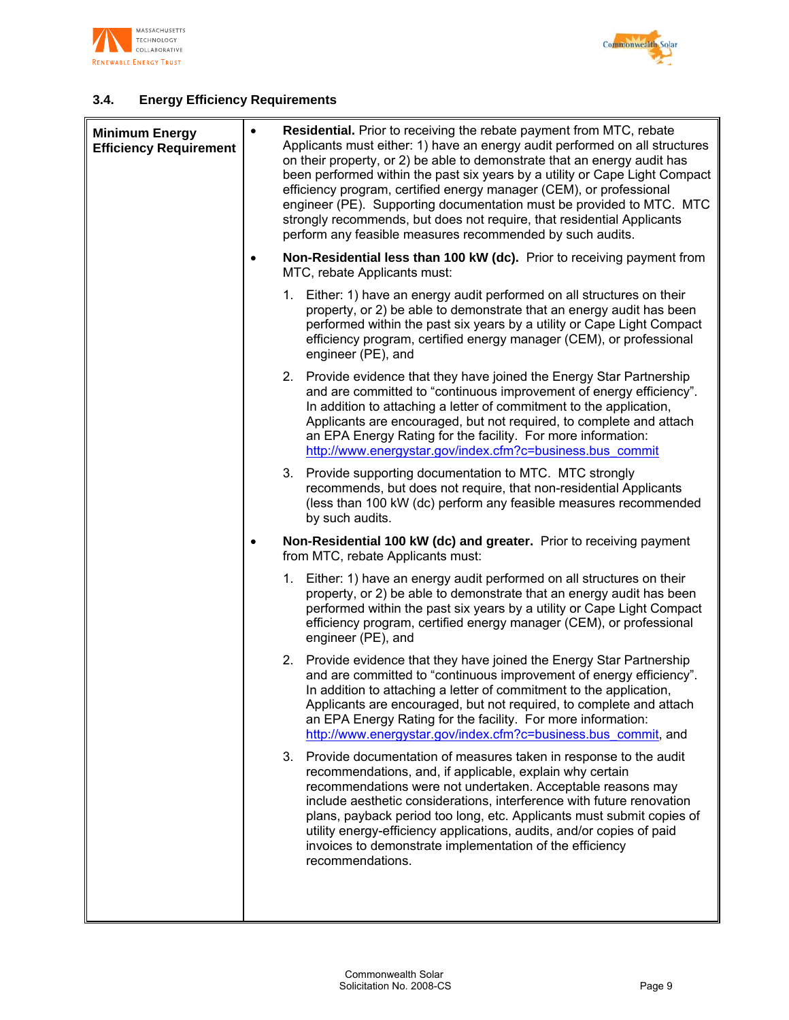



# **3.4. Energy Efficiency Requirements**

| <b>Minimum Energy</b><br><b>Efficiency Requirement</b> | $\bullet$ | <b>Residential.</b> Prior to receiving the rebate payment from MTC, rebate<br>Applicants must either: 1) have an energy audit performed on all structures<br>on their property, or 2) be able to demonstrate that an energy audit has<br>been performed within the past six years by a utility or Cape Light Compact<br>efficiency program, certified energy manager (CEM), or professional<br>engineer (PE). Supporting documentation must be provided to MTC. MTC<br>strongly recommends, but does not require, that residential Applicants<br>perform any feasible measures recommended by such audits. |
|--------------------------------------------------------|-----------|------------------------------------------------------------------------------------------------------------------------------------------------------------------------------------------------------------------------------------------------------------------------------------------------------------------------------------------------------------------------------------------------------------------------------------------------------------------------------------------------------------------------------------------------------------------------------------------------------------|
|                                                        | ٠         | Non-Residential less than 100 kW (dc). Prior to receiving payment from<br>MTC, rebate Applicants must:                                                                                                                                                                                                                                                                                                                                                                                                                                                                                                     |
|                                                        |           | 1. Either: 1) have an energy audit performed on all structures on their<br>property, or 2) be able to demonstrate that an energy audit has been<br>performed within the past six years by a utility or Cape Light Compact<br>efficiency program, certified energy manager (CEM), or professional<br>engineer (PE), and                                                                                                                                                                                                                                                                                     |
|                                                        |           | 2. Provide evidence that they have joined the Energy Star Partnership<br>and are committed to "continuous improvement of energy efficiency".<br>In addition to attaching a letter of commitment to the application,<br>Applicants are encouraged, but not required, to complete and attach<br>an EPA Energy Rating for the facility. For more information:<br>http://www.energystar.gov/index.cfm?c=business.bus commit                                                                                                                                                                                    |
|                                                        |           | 3.<br>Provide supporting documentation to MTC. MTC strongly<br>recommends, but does not require, that non-residential Applicants<br>(less than 100 kW (dc) perform any feasible measures recommended<br>by such audits.                                                                                                                                                                                                                                                                                                                                                                                    |
|                                                        | ٠         | Non-Residential 100 kW (dc) and greater. Prior to receiving payment<br>from MTC, rebate Applicants must:                                                                                                                                                                                                                                                                                                                                                                                                                                                                                                   |
|                                                        |           | 1. Either: 1) have an energy audit performed on all structures on their<br>property, or 2) be able to demonstrate that an energy audit has been<br>performed within the past six years by a utility or Cape Light Compact<br>efficiency program, certified energy manager (CEM), or professional<br>engineer (PE), and                                                                                                                                                                                                                                                                                     |
|                                                        |           | 2. Provide evidence that they have joined the Energy Star Partnership<br>and are committed to "continuous improvement of energy efficiency".<br>In addition to attaching a letter of commitment to the application,<br>Applicants are encouraged, but not required, to complete and attach<br>an EPA Energy Rating for the facility. For more information:<br>http://www.energystar.gov/index.cfm?c=business.bus_commit, and                                                                                                                                                                               |
|                                                        |           | 3.<br>Provide documentation of measures taken in response to the audit<br>recommendations, and, if applicable, explain why certain<br>recommendations were not undertaken. Acceptable reasons may<br>include aesthetic considerations, interference with future renovation<br>plans, payback period too long, etc. Applicants must submit copies of<br>utility energy-efficiency applications, audits, and/or copies of paid<br>invoices to demonstrate implementation of the efficiency<br>recommendations.                                                                                               |
|                                                        |           |                                                                                                                                                                                                                                                                                                                                                                                                                                                                                                                                                                                                            |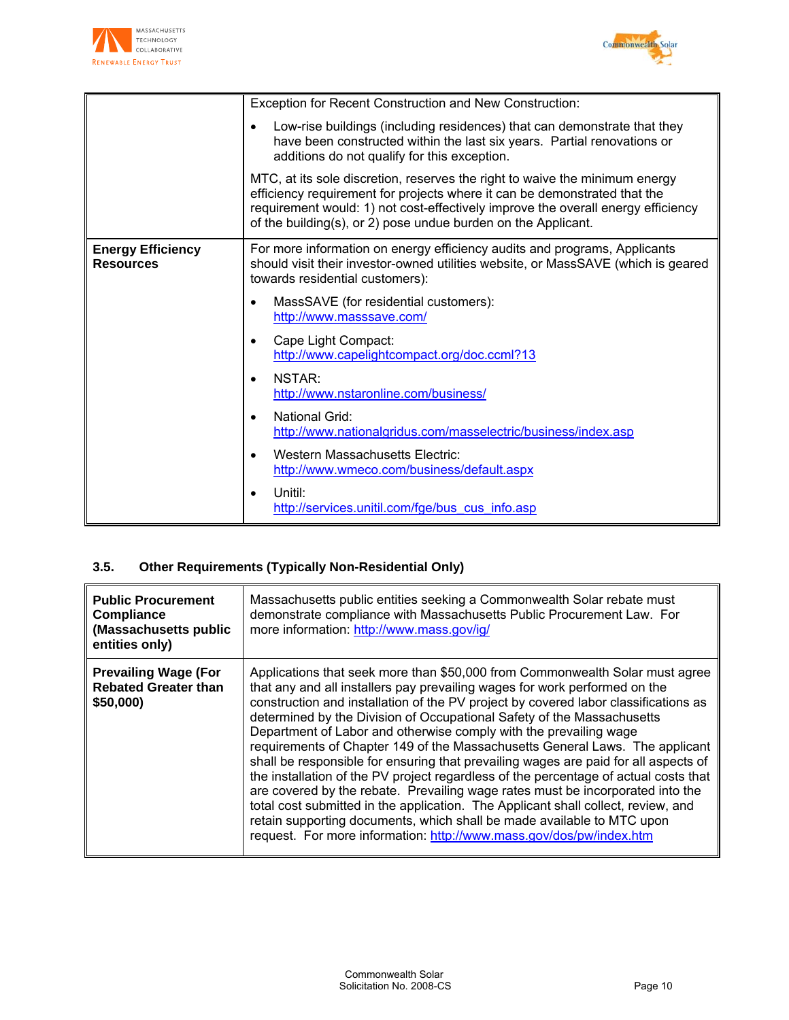



|                                              | Exception for Recent Construction and New Construction:                                                                                                                                                                                                                                                       |  |  |
|----------------------------------------------|---------------------------------------------------------------------------------------------------------------------------------------------------------------------------------------------------------------------------------------------------------------------------------------------------------------|--|--|
|                                              | Low-rise buildings (including residences) that can demonstrate that they<br>$\bullet$<br>have been constructed within the last six years. Partial renovations or<br>additions do not qualify for this exception.                                                                                              |  |  |
|                                              | MTC, at its sole discretion, reserves the right to waive the minimum energy<br>efficiency requirement for projects where it can be demonstrated that the<br>requirement would: 1) not cost-effectively improve the overall energy efficiency<br>of the building(s), or 2) pose undue burden on the Applicant. |  |  |
| <b>Energy Efficiency</b><br><b>Resources</b> | For more information on energy efficiency audits and programs, Applicants<br>should visit their investor-owned utilities website, or MassSAVE (which is geared<br>towards residential customers):                                                                                                             |  |  |
|                                              | MassSAVE (for residential customers):<br>$\bullet$<br>http://www.masssave.com/                                                                                                                                                                                                                                |  |  |
|                                              | Cape Light Compact:<br>$\bullet$<br>http://www.capelightcompact.org/doc.ccml?13                                                                                                                                                                                                                               |  |  |
|                                              | NSTAR:<br>$\bullet$<br>http://www.nstaronline.com/business/                                                                                                                                                                                                                                                   |  |  |
|                                              | <b>National Grid:</b><br>$\bullet$<br>http://www.nationalgridus.com/masselectric/business/index.asp                                                                                                                                                                                                           |  |  |
|                                              | <b>Western Massachusetts Electric:</b><br>$\bullet$<br>http://www.wmeco.com/business/default.aspx                                                                                                                                                                                                             |  |  |
|                                              | Unitil:<br>$\bullet$<br>http://services.unitil.com/fge/bus cus info.asp                                                                                                                                                                                                                                       |  |  |

# **3.5. Other Requirements (Typically Non-Residential Only)**

| <b>Public Procurement</b><br><b>Compliance</b><br>(Massachusetts public<br>entities only) | Massachusetts public entities seeking a Commonwealth Solar rebate must<br>demonstrate compliance with Massachusetts Public Procurement Law. For<br>more information: http://www.mass.gov/ig/                                                                                                                                                                                                                                                                                                                                                                                                                                                                                                                                                                                                                                                                                                                                                                                            |
|-------------------------------------------------------------------------------------------|-----------------------------------------------------------------------------------------------------------------------------------------------------------------------------------------------------------------------------------------------------------------------------------------------------------------------------------------------------------------------------------------------------------------------------------------------------------------------------------------------------------------------------------------------------------------------------------------------------------------------------------------------------------------------------------------------------------------------------------------------------------------------------------------------------------------------------------------------------------------------------------------------------------------------------------------------------------------------------------------|
| <b>Prevailing Wage (For</b><br><b>Rebated Greater than</b><br>\$50,000)                   | Applications that seek more than \$50,000 from Commonwealth Solar must agree<br>that any and all installers pay prevailing wages for work performed on the<br>construction and installation of the PV project by covered labor classifications as<br>determined by the Division of Occupational Safety of the Massachusetts<br>Department of Labor and otherwise comply with the prevailing wage<br>requirements of Chapter 149 of the Massachusetts General Laws. The applicant<br>shall be responsible for ensuring that prevailing wages are paid for all aspects of<br>the installation of the PV project regardless of the percentage of actual costs that<br>are covered by the rebate. Prevailing wage rates must be incorporated into the<br>total cost submitted in the application. The Applicant shall collect, review, and<br>retain supporting documents, which shall be made available to MTC upon<br>request. For more information: http://www.mass.gov/dos/pw/index.htm |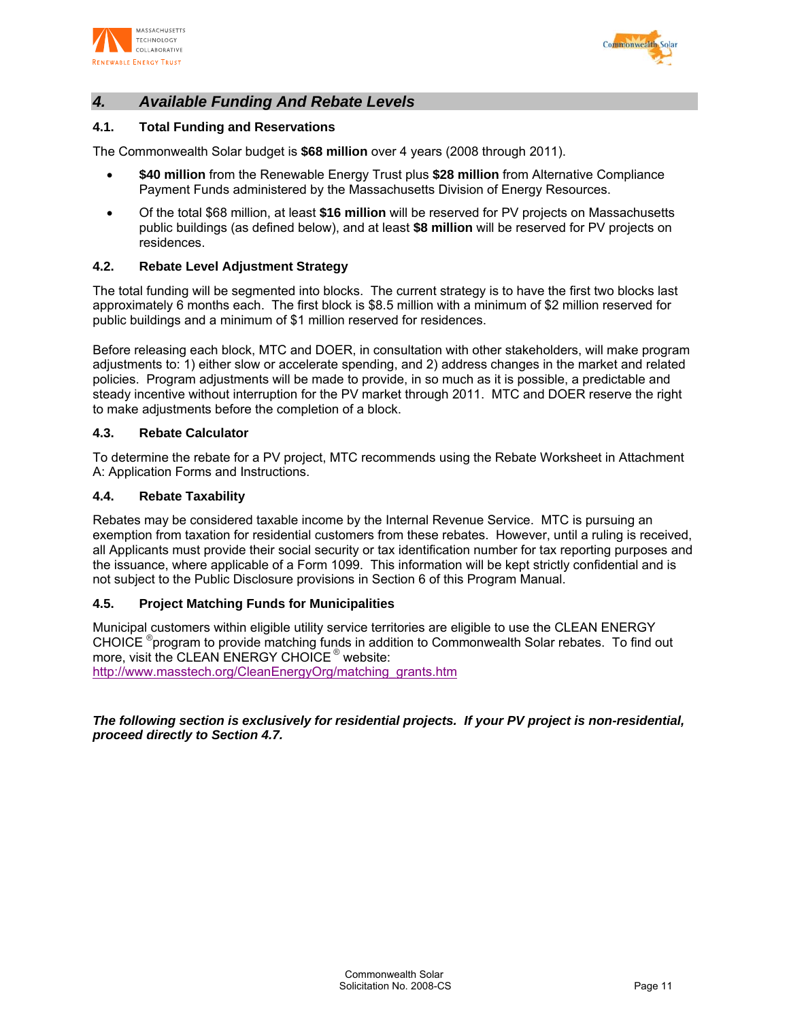



# *4. Available Funding And Rebate Levels*

## **4.1. Total Funding and Reservations**

The Commonwealth Solar budget is **\$68 million** over 4 years (2008 through 2011).

- **\$40 million** from the Renewable Energy Trust plus **\$28 million** from Alternative Compliance Payment Funds administered by the Massachusetts Division of Energy Resources.
- Of the total \$68 million, at least **\$16 million** will be reserved for PV projects on Massachusetts public buildings (as defined below), and at least **\$8 million** will be reserved for PV projects on residences.

#### **4.2. Rebate Level Adjustment Strategy**

The total funding will be segmented into blocks. The current strategy is to have the first two blocks last approximately 6 months each. The first block is \$8.5 million with a minimum of \$2 million reserved for public buildings and a minimum of \$1 million reserved for residences.

Before releasing each block, MTC and DOER, in consultation with other stakeholders, will make program adjustments to: 1) either slow or accelerate spending, and 2) address changes in the market and related policies. Program adjustments will be made to provide, in so much as it is possible, a predictable and steady incentive without interruption for the PV market through 2011. MTC and DOER reserve the right to make adjustments before the completion of a block.

#### **4.3. Rebate Calculator**

To determine the rebate for a PV project, MTC recommends using the Rebate Worksheet in Attachment A: Application Forms and Instructions.

#### **4.4. Rebate Taxability**

Rebates may be considered taxable income by the Internal Revenue Service. MTC is pursuing an exemption from taxation for residential customers from these rebates. However, until a ruling is received, all Applicants must provide their social security or tax identification number for tax reporting purposes and the issuance, where applicable of a Form 1099. This information will be kept strictly confidential and is not subject to the Public Disclosure provisions in Section 6 of this Program Manual.

#### **4.5. Project Matching Funds for Municipalities**

Municipal customers within eligible utility service territories are eligible to use the CLEAN ENERGY CHOICE ® program to provide matching funds in addition to Commonwealth Solar rebates. To find out more, visit the CLEAN ENERGY CHOICE ® website: http://www.masstech.org/CleanEnergyOrg/matching\_grants.htm

*The following section is exclusively for residential projects. If your PV project is non-residential, proceed directly to Section 4.7.*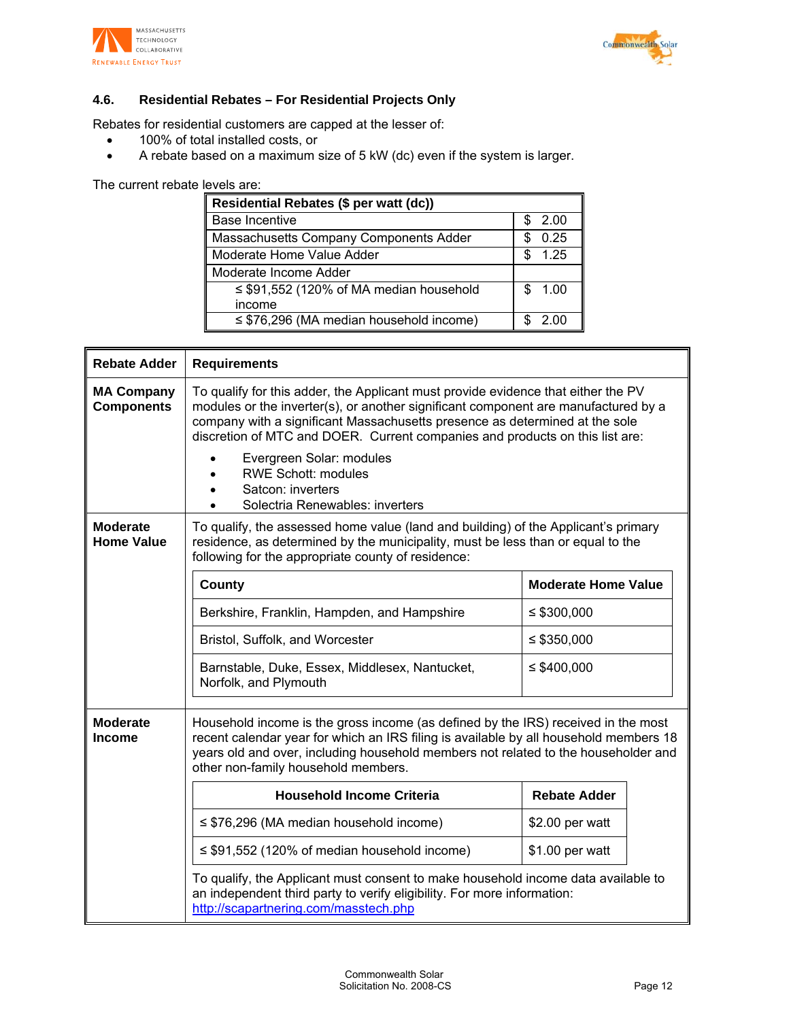



# **4.6. Residential Rebates – For Residential Projects Only**

Rebates for residential customers are capped at the lesser of:

- 100% of total installed costs, or
- A rebate based on a maximum size of 5 kW (dc) even if the system is larger.

The current rebate levels are:

| Residential Rebates (\$ per watt (dc))       |              |  |
|----------------------------------------------|--------------|--|
| <b>Base Incentive</b>                        | 2.00         |  |
| Massachusetts Company Components Adder       | 0.25         |  |
| Moderate Home Value Adder                    | 1.25         |  |
| Moderate Income Adder                        |              |  |
| $\leq$ \$91,552 (120% of MA median household | $-1.00$<br>S |  |
| income                                       |              |  |
| $\leq$ \$76,296 (MA median household income) | 2 OO         |  |

| <b>Rebate Adder</b>                    | <b>Requirements</b>                                                                                                                                                                                                                                                                                                                    |                            |  |  |
|----------------------------------------|----------------------------------------------------------------------------------------------------------------------------------------------------------------------------------------------------------------------------------------------------------------------------------------------------------------------------------------|----------------------------|--|--|
| <b>MA Company</b><br><b>Components</b> | To qualify for this adder, the Applicant must provide evidence that either the PV<br>modules or the inverter(s), or another significant component are manufactured by a<br>company with a significant Massachusetts presence as determined at the sole<br>discretion of MTC and DOER. Current companies and products on this list are: |                            |  |  |
|                                        | Evergreen Solar: modules<br><b>RWE Schott: modules</b><br>Satcon: inverters<br>Solectria Renewables: inverters                                                                                                                                                                                                                         |                            |  |  |
| <b>Moderate</b><br><b>Home Value</b>   | To qualify, the assessed home value (land and building) of the Applicant's primary<br>residence, as determined by the municipality, must be less than or equal to the<br>following for the appropriate county of residence:                                                                                                            |                            |  |  |
|                                        | County                                                                                                                                                                                                                                                                                                                                 | <b>Moderate Home Value</b> |  |  |
|                                        | Berkshire, Franklin, Hampden, and Hampshire                                                                                                                                                                                                                                                                                            | ≤ $$300,000$               |  |  |
|                                        | Bristol, Suffolk, and Worcester                                                                                                                                                                                                                                                                                                        | $\leq$ \$350,000           |  |  |
|                                        | Barnstable, Duke, Essex, Middlesex, Nantucket,<br>Norfolk, and Plymouth                                                                                                                                                                                                                                                                | ≤ \$400,000                |  |  |
| <b>Moderate</b><br><b>Income</b>       | Household income is the gross income (as defined by the IRS) received in the most<br>recent calendar year for which an IRS filing is available by all household members 18<br>years old and over, including household members not related to the householder and<br>other non-family household members.                                |                            |  |  |
|                                        | <b>Household Income Criteria</b>                                                                                                                                                                                                                                                                                                       | <b>Rebate Adder</b>        |  |  |
|                                        | $\leq$ \$76,296 (MA median household income)                                                                                                                                                                                                                                                                                           | \$2.00 per watt            |  |  |
|                                        | $\leq$ \$91,552 (120% of median household income)                                                                                                                                                                                                                                                                                      | \$1.00 per watt            |  |  |
|                                        | To qualify, the Applicant must consent to make household income data available to<br>an independent third party to verify eligibility. For more information:<br>http://scapartnering.com/masstech.php                                                                                                                                  |                            |  |  |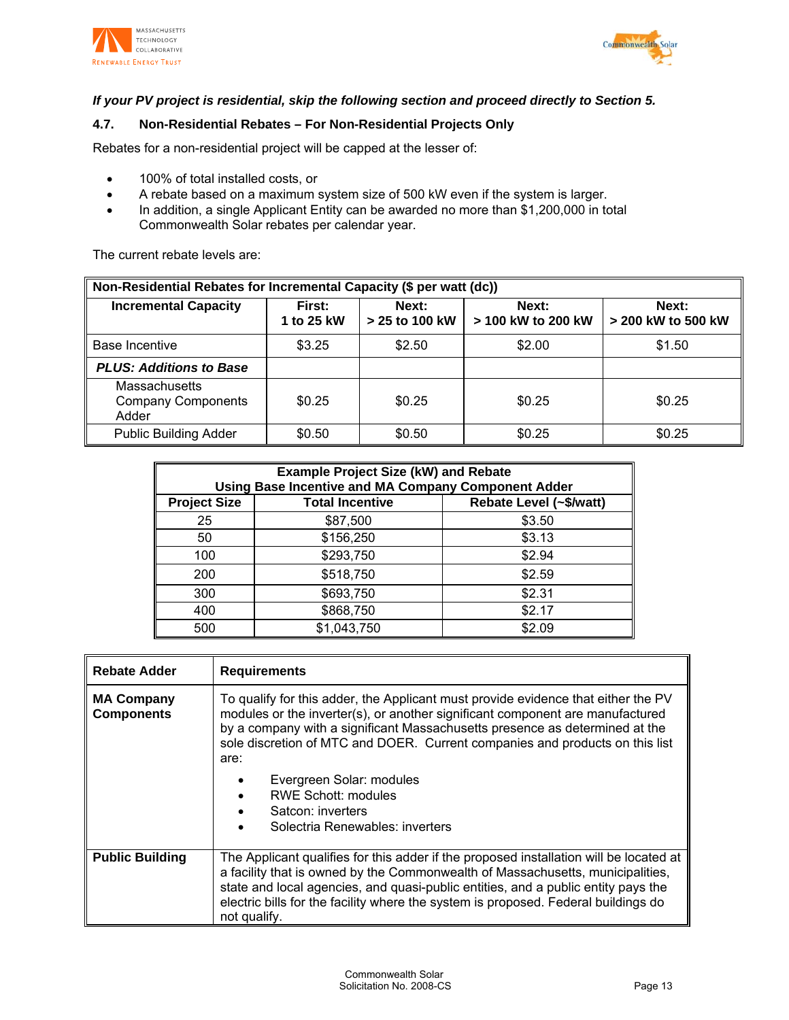



# *If your PV project is residential, skip the following section and proceed directly to Section 5.*

## **4.7. Non-Residential Rebates – For Non-Residential Projects Only**

Rebates for a non-residential project will be capped at the lesser of:

- 100% of total installed costs, or
- A rebate based on a maximum system size of 500 kW even if the system is larger.
- In addition, a single Applicant Entity can be awarded no more than \$1,200,000 in total Commonwealth Solar rebates per calendar year.

The current rebate levels are:

| Non-Residential Rebates for Incremental Capacity (\$ per watt (dc)) |                      |                         |                             |                             |
|---------------------------------------------------------------------|----------------------|-------------------------|-----------------------------|-----------------------------|
| <b>Incremental Capacity</b>                                         | First:<br>1 to 25 kW | Next:<br>> 25 to 100 kW | Next:<br>> 100 kW to 200 kW | Next:<br>> 200 kW to 500 kW |
| Base Incentive                                                      | \$3.25               | \$2.50                  | \$2.00                      | \$1.50                      |
| <b>PLUS: Additions to Base</b>                                      |                      |                         |                             |                             |
| <b>Massachusetts</b><br><b>Company Components</b><br>Adder          | \$0.25               | \$0.25                  | \$0.25                      | \$0.25                      |
| <b>Public Building Adder</b>                                        | \$0.50               | \$0.50                  | \$0.25                      | \$0.25                      |

| <b>Example Project Size (kW) and Rebate</b><br><b>Using Base Incentive and MA Company Component Adder</b> |                        |                         |  |
|-----------------------------------------------------------------------------------------------------------|------------------------|-------------------------|--|
| <b>Project Size</b>                                                                                       | <b>Total Incentive</b> | Rebate Level (~\$/watt) |  |
| 25                                                                                                        | \$87,500               | \$3.50                  |  |
| 50                                                                                                        | \$156,250              | \$3.13                  |  |
| 100                                                                                                       | \$293,750              | \$2.94                  |  |
| 200                                                                                                       | \$518,750              | \$2.59                  |  |
| 300                                                                                                       | \$693,750              | \$2.31                  |  |
| 400                                                                                                       | \$868,750              | \$2.17                  |  |
| 500                                                                                                       | \$1,043,750            | \$2.09                  |  |

| <b>Rebate Adder</b>                    | <b>Requirements</b>                                                                                                                                                                                                                                                                                                                                                 |  |
|----------------------------------------|---------------------------------------------------------------------------------------------------------------------------------------------------------------------------------------------------------------------------------------------------------------------------------------------------------------------------------------------------------------------|--|
| <b>MA Company</b><br><b>Components</b> | To qualify for this adder, the Applicant must provide evidence that either the PV<br>modules or the inverter(s), or another significant component are manufactured<br>by a company with a significant Massachusetts presence as determined at the<br>sole discretion of MTC and DOER. Current companies and products on this list<br>are:                           |  |
|                                        | Evergreen Solar: modules<br><b>RWE Schott: modules</b><br>Satcon: inverters<br>Solectria Renewables: inverters                                                                                                                                                                                                                                                      |  |
| <b>Public Building</b>                 | The Applicant qualifies for this adder if the proposed installation will be located at<br>a facility that is owned by the Commonwealth of Massachusetts, municipalities,<br>state and local agencies, and quasi-public entities, and a public entity pays the<br>electric bills for the facility where the system is proposed. Federal buildings do<br>not qualify. |  |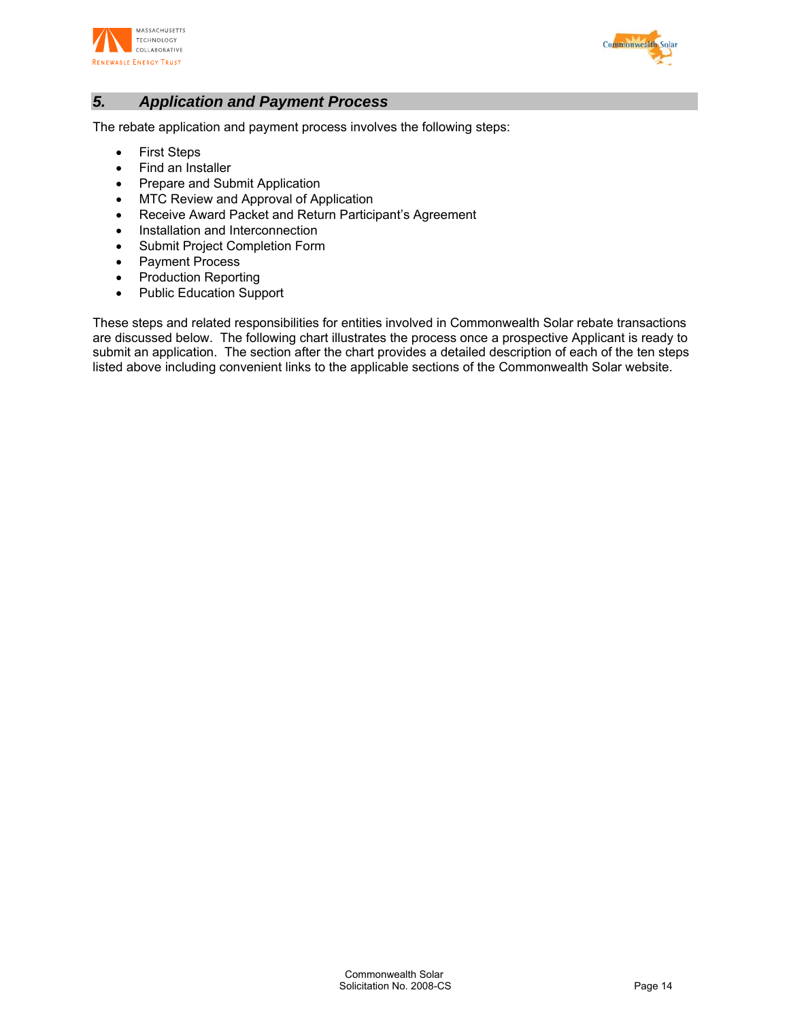



# *5. Application and Payment Process*

The rebate application and payment process involves the following steps:

- First Steps
- Find an Installer
- Prepare and Submit Application
- MTC Review and Approval of Application
- Receive Award Packet and Return Participant's Agreement
- Installation and Interconnection
- Submit Project Completion Form
- Payment Process
- Production Reporting
- Public Education Support

These steps and related responsibilities for entities involved in Commonwealth Solar rebate transactions are discussed below. The following chart illustrates the process once a prospective Applicant is ready to submit an application. The section after the chart provides a detailed description of each of the ten steps listed above including convenient links to the applicable sections of the Commonwealth Solar website.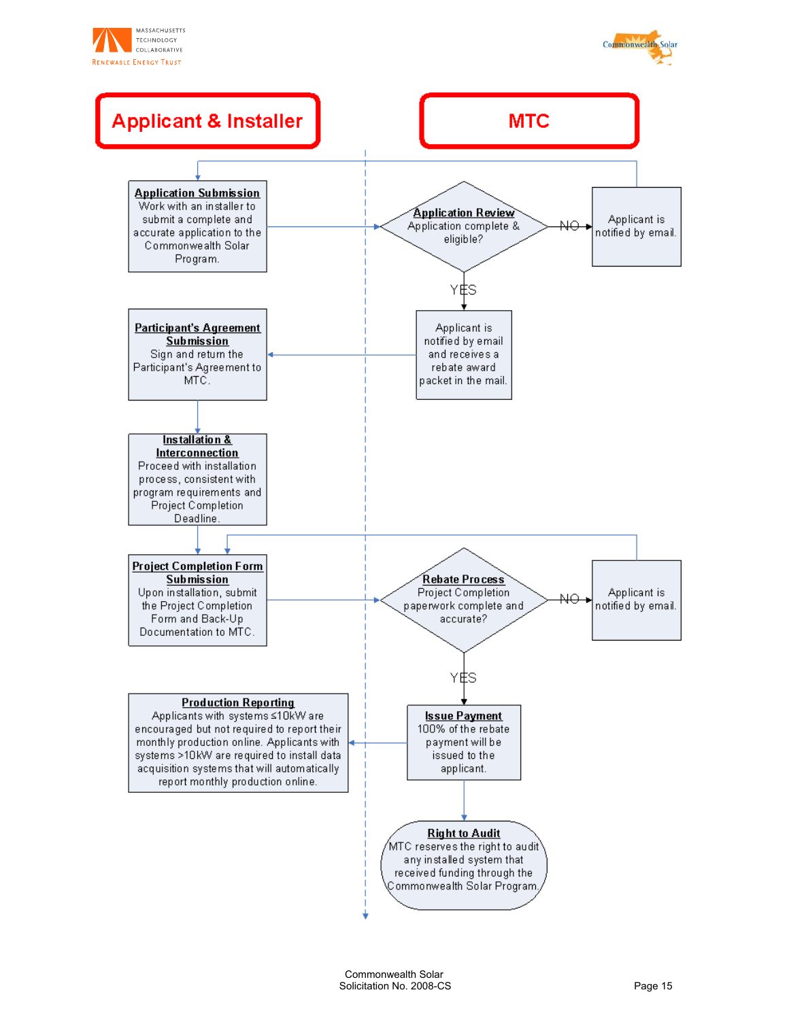



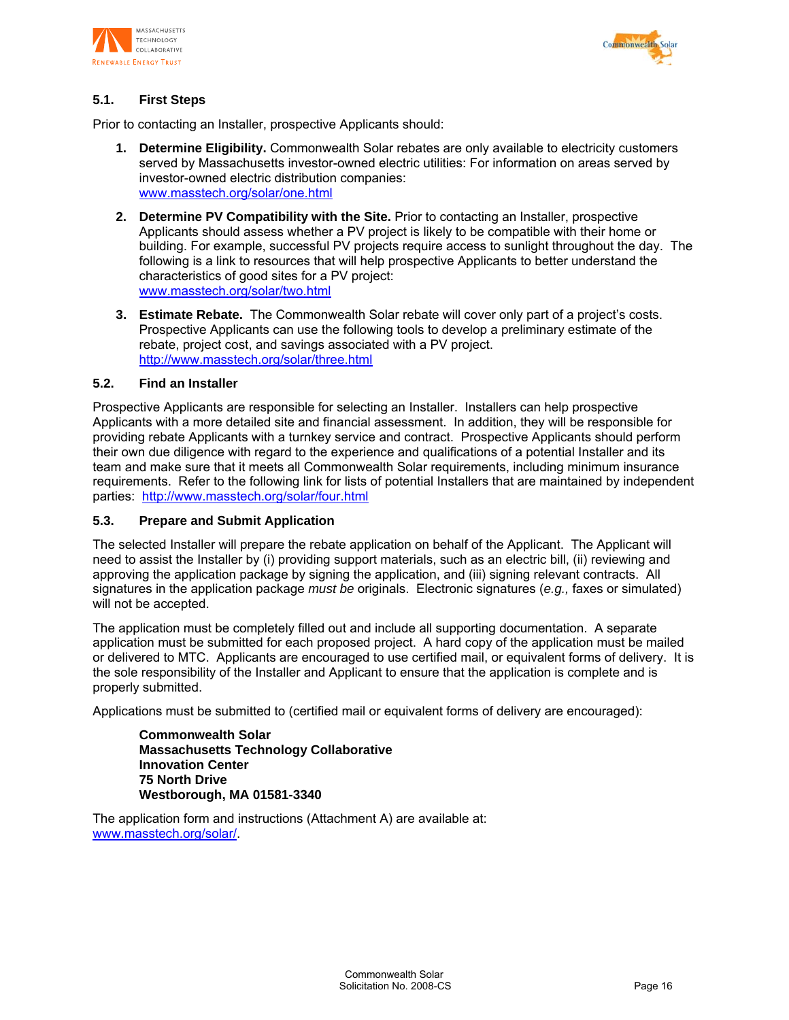



# **5.1. First Steps**

Prior to contacting an Installer, prospective Applicants should:

- **1. Determine Eligibility.** Commonwealth Solar rebates are only available to electricity customers served by Massachusetts investor-owned electric utilities: For information on areas served by investor-owned electric distribution companies: www.masstech.org/solar/one.html
- **2. Determine PV Compatibility with the Site.** Prior to contacting an Installer, prospective Applicants should assess whether a PV project is likely to be compatible with their home or building. For example, successful PV projects require access to sunlight throughout the day. The following is a link to resources that will help prospective Applicants to better understand the characteristics of good sites for a PV project: www.masstech.org/solar/two.html
- **3. Estimate Rebate.** The Commonwealth Solar rebate will cover only part of a project's costs. Prospective Applicants can use the following tools to develop a preliminary estimate of the rebate, project cost, and savings associated with a PV project. http://www.masstech.org/solar/three.html

#### **5.2. Find an Installer**

Prospective Applicants are responsible for selecting an Installer. Installers can help prospective Applicants with a more detailed site and financial assessment. In addition, they will be responsible for providing rebate Applicants with a turnkey service and contract. Prospective Applicants should perform their own due diligence with regard to the experience and qualifications of a potential Installer and its team and make sure that it meets all Commonwealth Solar requirements, including minimum insurance requirements. Refer to the following link for lists of potential Installers that are maintained by independent parties: http://www.masstech.org/solar/four.html

#### **5.3. Prepare and Submit Application**

The selected Installer will prepare the rebate application on behalf of the Applicant. The Applicant will need to assist the Installer by (i) providing support materials, such as an electric bill, (ii) reviewing and approving the application package by signing the application, and (iii) signing relevant contracts. All signatures in the application package *must be* originals. Electronic signatures (*e.g.,* faxes or simulated) will not be accepted.

The application must be completely filled out and include all supporting documentation. A separate application must be submitted for each proposed project. A hard copy of the application must be mailed or delivered to MTC. Applicants are encouraged to use certified mail, or equivalent forms of delivery. It is the sole responsibility of the Installer and Applicant to ensure that the application is complete and is properly submitted.

Applications must be submitted to (certified mail or equivalent forms of delivery are encouraged):

**Commonwealth Solar Massachusetts Technology Collaborative Innovation Center 75 North Drive Westborough, MA 01581-3340** 

The application form and instructions (Attachment A) are available at: www.masstech.org/solar/.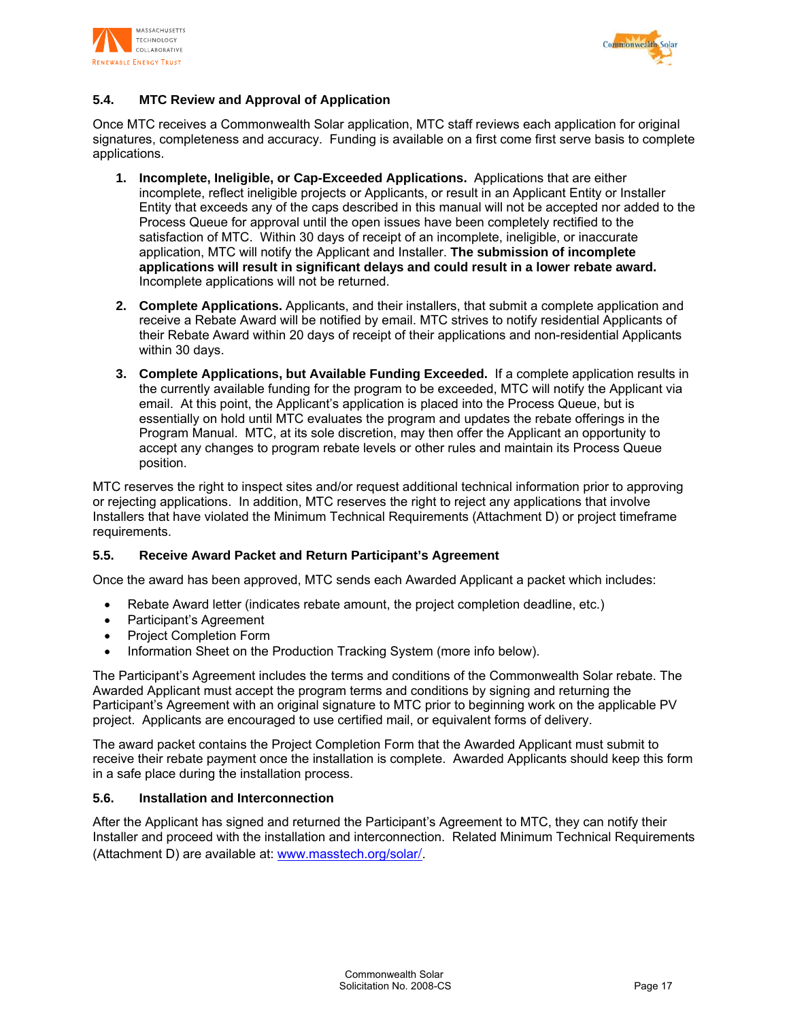



# **5.4. MTC Review and Approval of Application**

Once MTC receives a Commonwealth Solar application, MTC staff reviews each application for original signatures, completeness and accuracy. Funding is available on a first come first serve basis to complete applications.

- **1. Incomplete, Ineligible, or Cap-Exceeded Applications.** Applications that are either incomplete, reflect ineligible projects or Applicants, or result in an Applicant Entity or Installer Entity that exceeds any of the caps described in this manual will not be accepted nor added to the Process Queue for approval until the open issues have been completely rectified to the satisfaction of MTC. Within 30 days of receipt of an incomplete, ineligible, or inaccurate application, MTC will notify the Applicant and Installer. **The submission of incomplete applications will result in significant delays and could result in a lower rebate award.** Incomplete applications will not be returned.
- **2. Complete Applications.** Applicants, and their installers, that submit a complete application and receive a Rebate Award will be notified by email. MTC strives to notify residential Applicants of their Rebate Award within 20 days of receipt of their applications and non-residential Applicants within 30 days.
- **3. Complete Applications, but Available Funding Exceeded.** If a complete application results in the currently available funding for the program to be exceeded, MTC will notify the Applicant via email. At this point, the Applicant's application is placed into the Process Queue, but is essentially on hold until MTC evaluates the program and updates the rebate offerings in the Program Manual. MTC, at its sole discretion, may then offer the Applicant an opportunity to accept any changes to program rebate levels or other rules and maintain its Process Queue position.

MTC reserves the right to inspect sites and/or request additional technical information prior to approving or rejecting applications. In addition, MTC reserves the right to reject any applications that involve Installers that have violated the Minimum Technical Requirements (Attachment D) or project timeframe requirements.

#### **5.5. Receive Award Packet and Return Participant's Agreement**

Once the award has been approved, MTC sends each Awarded Applicant a packet which includes:

- Rebate Award letter (indicates rebate amount, the project completion deadline, etc.)
- Participant's Agreement
- Project Completion Form
- Information Sheet on the Production Tracking System (more info below).

The Participant's Agreement includes the terms and conditions of the Commonwealth Solar rebate. The Awarded Applicant must accept the program terms and conditions by signing and returning the Participant's Agreement with an original signature to MTC prior to beginning work on the applicable PV project. Applicants are encouraged to use certified mail, or equivalent forms of delivery.

The award packet contains the Project Completion Form that the Awarded Applicant must submit to receive their rebate payment once the installation is complete. Awarded Applicants should keep this form in a safe place during the installation process.

#### **5.6. Installation and Interconnection**

After the Applicant has signed and returned the Participant's Agreement to MTC, they can notify their Installer and proceed with the installation and interconnection. Related Minimum Technical Requirements (Attachment D) are available at: www.masstech.org/solar/.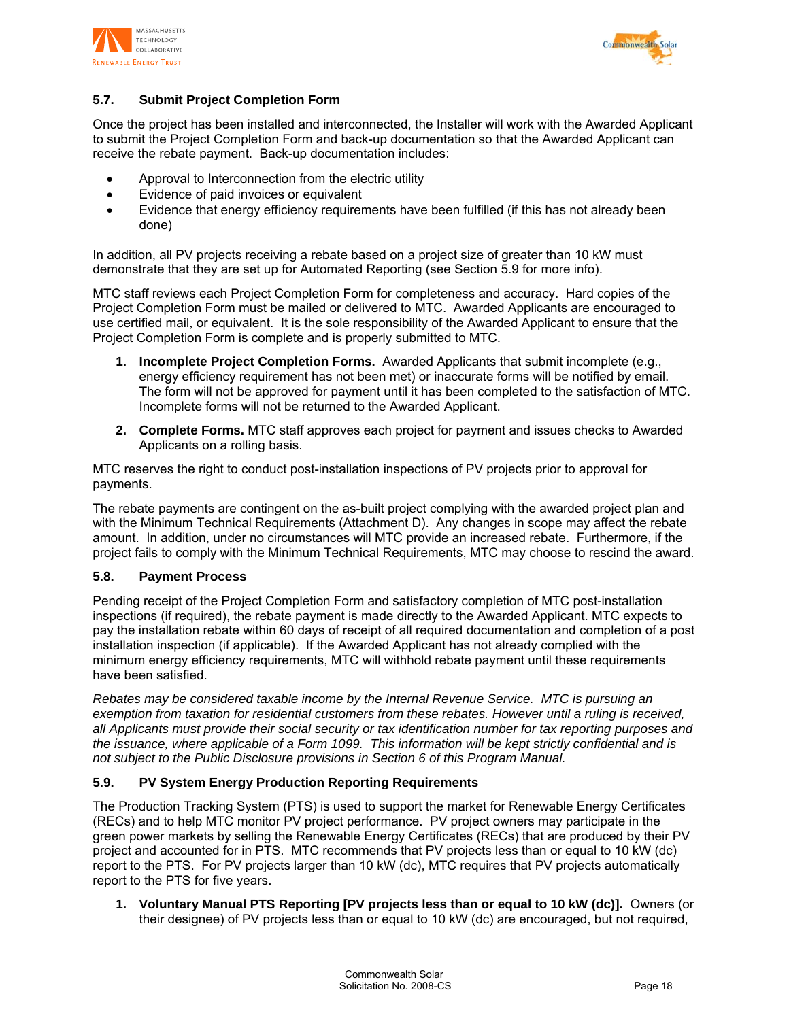



# **5.7. Submit Project Completion Form**

Once the project has been installed and interconnected, the Installer will work with the Awarded Applicant to submit the Project Completion Form and back-up documentation so that the Awarded Applicant can receive the rebate payment. Back-up documentation includes:

- Approval to Interconnection from the electric utility
- Evidence of paid invoices or equivalent
- Evidence that energy efficiency requirements have been fulfilled (if this has not already been done)

In addition, all PV projects receiving a rebate based on a project size of greater than 10 kW must demonstrate that they are set up for Automated Reporting (see Section 5.9 for more info).

MTC staff reviews each Project Completion Form for completeness and accuracy. Hard copies of the Project Completion Form must be mailed or delivered to MTC. Awarded Applicants are encouraged to use certified mail, or equivalent. It is the sole responsibility of the Awarded Applicant to ensure that the Project Completion Form is complete and is properly submitted to MTC.

- **1. Incomplete Project Completion Forms.** Awarded Applicants that submit incomplete (e.g., energy efficiency requirement has not been met) or inaccurate forms will be notified by email. The form will not be approved for payment until it has been completed to the satisfaction of MTC. Incomplete forms will not be returned to the Awarded Applicant.
- **2. Complete Forms.** MTC staff approves each project for payment and issues checks to Awarded Applicants on a rolling basis.

MTC reserves the right to conduct post-installation inspections of PV projects prior to approval for payments.

The rebate payments are contingent on the as-built project complying with the awarded project plan and with the Minimum Technical Requirements (Attachment D). Any changes in scope may affect the rebate amount. In addition, under no circumstances will MTC provide an increased rebate. Furthermore, if the project fails to comply with the Minimum Technical Requirements, MTC may choose to rescind the award.

#### **5.8. Payment Process**

Pending receipt of the Project Completion Form and satisfactory completion of MTC post-installation inspections (if required), the rebate payment is made directly to the Awarded Applicant. MTC expects to pay the installation rebate within 60 days of receipt of all required documentation and completion of a post installation inspection (if applicable). If the Awarded Applicant has not already complied with the minimum energy efficiency requirements, MTC will withhold rebate payment until these requirements have been satisfied.

*Rebates may be considered taxable income by the Internal Revenue Service. MTC is pursuing an exemption from taxation for residential customers from these rebates. However until a ruling is received, all Applicants must provide their social security or tax identification number for tax reporting purposes and the issuance, where applicable of a Form 1099. This information will be kept strictly confidential and is not subject to the Public Disclosure provisions in Section 6 of this Program Manual.* 

#### **5.9. PV System Energy Production Reporting Requirements**

The Production Tracking System (PTS) is used to support the market for Renewable Energy Certificates (RECs) and to help MTC monitor PV project performance. PV project owners may participate in the green power markets by selling the Renewable Energy Certificates (RECs) that are produced by their PV project and accounted for in PTS. MTC recommends that PV projects less than or equal to 10 kW (dc) report to the PTS. For PV projects larger than 10 kW (dc), MTC requires that PV projects automatically report to the PTS for five years.

**1. Voluntary Manual PTS Reporting [PV projects less than or equal to 10 kW (dc)].** Owners (or their designee) of PV projects less than or equal to 10 kW (dc) are encouraged, but not required,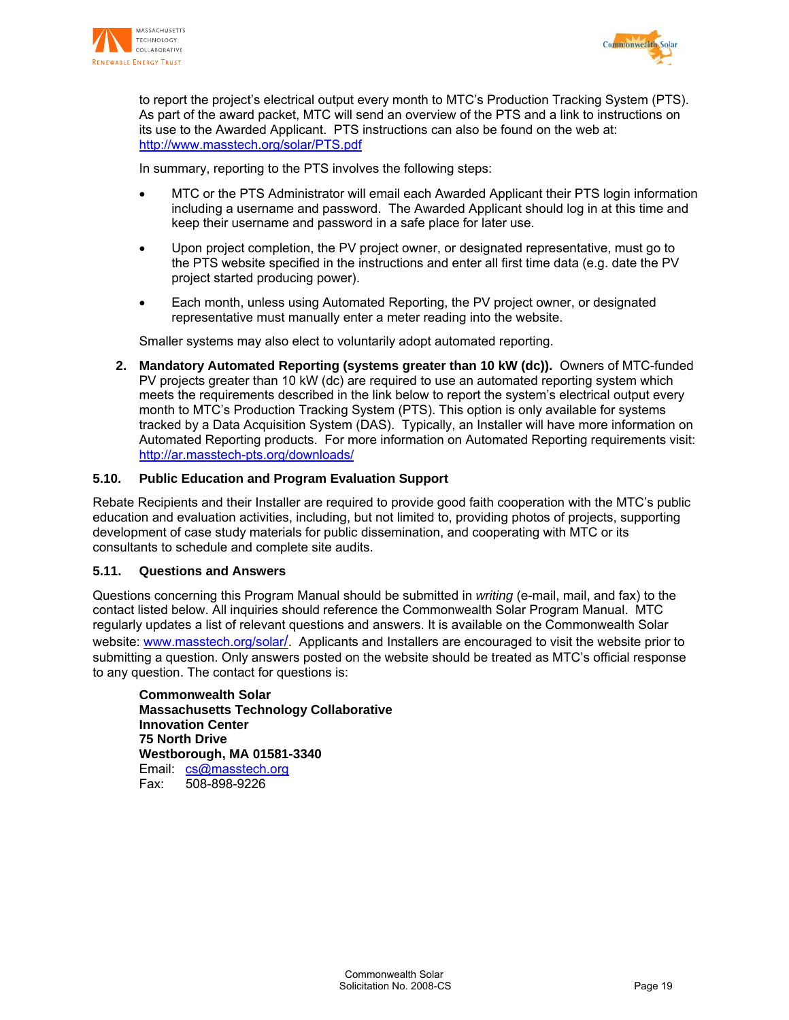



to report the project's electrical output every month to MTC's Production Tracking System (PTS). As part of the award packet, MTC will send an overview of the PTS and a link to instructions on its use to the Awarded Applicant. PTS instructions can also be found on the web at: http://www.masstech.org/solar/PTS.pdf

In summary, reporting to the PTS involves the following steps:

- MTC or the PTS Administrator will email each Awarded Applicant their PTS login information including a username and password. The Awarded Applicant should log in at this time and keep their username and password in a safe place for later use.
- Upon project completion, the PV project owner, or designated representative, must go to the PTS website specified in the instructions and enter all first time data (e.g. date the PV project started producing power).
- Each month, unless using Automated Reporting, the PV project owner, or designated representative must manually enter a meter reading into the website.

Smaller systems may also elect to voluntarily adopt automated reporting.

**2. Mandatory Automated Reporting (systems greater than 10 kW (dc)).** Owners of MTC-funded PV projects greater than 10 kW (dc) are required to use an automated reporting system which meets the requirements described in the link below to report the system's electrical output every month to MTC's Production Tracking System (PTS). This option is only available for systems tracked by a Data Acquisition System (DAS). Typically, an Installer will have more information on Automated Reporting products. For more information on Automated Reporting requirements visit: http://ar.masstech-pts.org/downloads/

#### **5.10. Public Education and Program Evaluation Support**

Rebate Recipients and their Installer are required to provide good faith cooperation with the MTC's public education and evaluation activities, including, but not limited to, providing photos of projects, supporting development of case study materials for public dissemination, and cooperating with MTC or its consultants to schedule and complete site audits.

#### **5.11. Questions and Answers**

Questions concerning this Program Manual should be submitted in *writing* (e-mail, mail, and fax) to the contact listed below. All inquiries should reference the Commonwealth Solar Program Manual. MTC regularly updates a list of relevant questions and answers. It is available on the Commonwealth Solar website: www.masstech.org/solar/. Applicants and Installers are encouraged to visit the website prior to submitting a question. Only answers posted on the website should be treated as MTC's official response to any question. The contact for questions is:

**Commonwealth Solar Massachusetts Technology Collaborative Innovation Center 75 North Drive Westborough, MA 01581-3340**  Email: cs@masstech.org Fax: 508-898-9226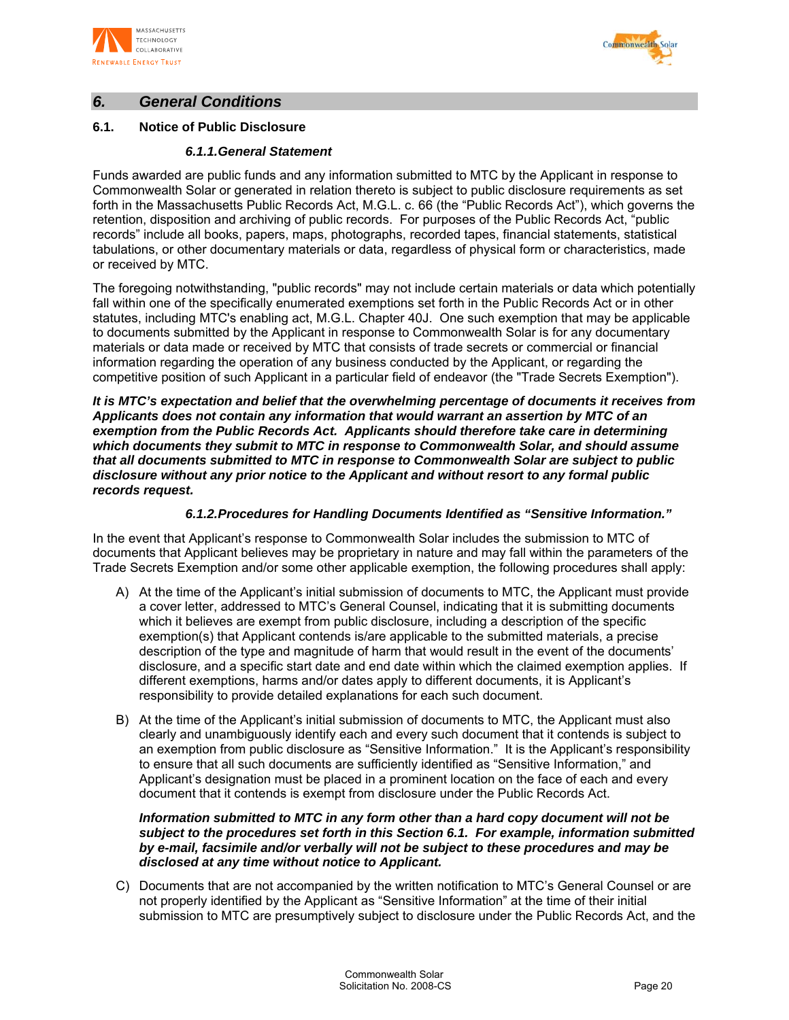



# *6. General Conditions*

# **6.1. Notice of Public Disclosure**

## *6.1.1. General Statement*

Funds awarded are public funds and any information submitted to MTC by the Applicant in response to Commonwealth Solar or generated in relation thereto is subject to public disclosure requirements as set forth in the Massachusetts Public Records Act, M.G.L. c. 66 (the "Public Records Act"), which governs the retention, disposition and archiving of public records. For purposes of the Public Records Act, "public records" include all books, papers, maps, photographs, recorded tapes, financial statements, statistical tabulations, or other documentary materials or data, regardless of physical form or characteristics, made or received by MTC.

The foregoing notwithstanding, "public records" may not include certain materials or data which potentially fall within one of the specifically enumerated exemptions set forth in the Public Records Act or in other statutes, including MTC's enabling act, M.G.L. Chapter 40J. One such exemption that may be applicable to documents submitted by the Applicant in response to Commonwealth Solar is for any documentary materials or data made or received by MTC that consists of trade secrets or commercial or financial information regarding the operation of any business conducted by the Applicant, or regarding the competitive position of such Applicant in a particular field of endeavor (the "Trade Secrets Exemption").

*It is MTC's expectation and belief that the overwhelming percentage of documents it receives from Applicants does not contain any information that would warrant an assertion by MTC of an exemption from the Public Records Act. Applicants should therefore take care in determining which documents they submit to MTC in response to Commonwealth Solar, and should assume that all documents submitted to MTC in response to Commonwealth Solar are subject to public disclosure without any prior notice to the Applicant and without resort to any formal public records request.* 

## *6.1.2. Procedures for Handling Documents Identified as "Sensitive Information."*

In the event that Applicant's response to Commonwealth Solar includes the submission to MTC of documents that Applicant believes may be proprietary in nature and may fall within the parameters of the Trade Secrets Exemption and/or some other applicable exemption, the following procedures shall apply:

- A) At the time of the Applicant's initial submission of documents to MTC, the Applicant must provide a cover letter, addressed to MTC's General Counsel, indicating that it is submitting documents which it believes are exempt from public disclosure, including a description of the specific exemption(s) that Applicant contends is/are applicable to the submitted materials, a precise description of the type and magnitude of harm that would result in the event of the documents' disclosure, and a specific start date and end date within which the claimed exemption applies. If different exemptions, harms and/or dates apply to different documents, it is Applicant's responsibility to provide detailed explanations for each such document.
- B) At the time of the Applicant's initial submission of documents to MTC, the Applicant must also clearly and unambiguously identify each and every such document that it contends is subject to an exemption from public disclosure as "Sensitive Information." It is the Applicant's responsibility to ensure that all such documents are sufficiently identified as "Sensitive Information," and Applicant's designation must be placed in a prominent location on the face of each and every document that it contends is exempt from disclosure under the Public Records Act.

#### *Information submitted to MTC in any form other than a hard copy document will not be subject to the procedures set forth in this Section 6.1. For example, information submitted by e-mail, facsimile and/or verbally will not be subject to these procedures and may be disclosed at any time without notice to Applicant.*

C) Documents that are not accompanied by the written notification to MTC's General Counsel or are not properly identified by the Applicant as "Sensitive Information" at the time of their initial submission to MTC are presumptively subject to disclosure under the Public Records Act, and the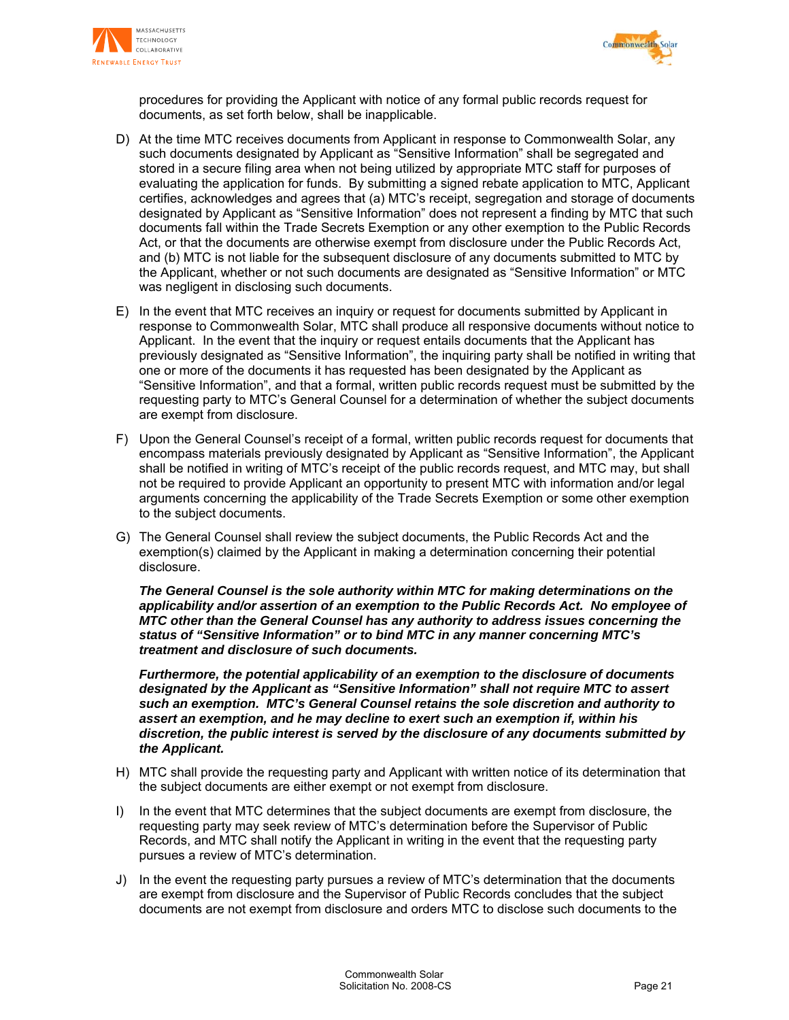



procedures for providing the Applicant with notice of any formal public records request for documents, as set forth below, shall be inapplicable.

- D) At the time MTC receives documents from Applicant in response to Commonwealth Solar, any such documents designated by Applicant as "Sensitive Information" shall be segregated and stored in a secure filing area when not being utilized by appropriate MTC staff for purposes of evaluating the application for funds. By submitting a signed rebate application to MTC, Applicant certifies, acknowledges and agrees that (a) MTC's receipt, segregation and storage of documents designated by Applicant as "Sensitive Information" does not represent a finding by MTC that such documents fall within the Trade Secrets Exemption or any other exemption to the Public Records Act, or that the documents are otherwise exempt from disclosure under the Public Records Act, and (b) MTC is not liable for the subsequent disclosure of any documents submitted to MTC by the Applicant, whether or not such documents are designated as "Sensitive Information" or MTC was negligent in disclosing such documents.
- E) In the event that MTC receives an inquiry or request for documents submitted by Applicant in response to Commonwealth Solar, MTC shall produce all responsive documents without notice to Applicant. In the event that the inquiry or request entails documents that the Applicant has previously designated as "Sensitive Information", the inquiring party shall be notified in writing that one or more of the documents it has requested has been designated by the Applicant as "Sensitive Information", and that a formal, written public records request must be submitted by the requesting party to MTC's General Counsel for a determination of whether the subject documents are exempt from disclosure.
- F) Upon the General Counsel's receipt of a formal, written public records request for documents that encompass materials previously designated by Applicant as "Sensitive Information", the Applicant shall be notified in writing of MTC's receipt of the public records request, and MTC may, but shall not be required to provide Applicant an opportunity to present MTC with information and/or legal arguments concerning the applicability of the Trade Secrets Exemption or some other exemption to the subject documents.
- G) The General Counsel shall review the subject documents, the Public Records Act and the exemption(s) claimed by the Applicant in making a determination concerning their potential disclosure.

*The General Counsel is the sole authority within MTC for making determinations on the applicability and/or assertion of an exemption to the Public Records Act. No employee of MTC other than the General Counsel has any authority to address issues concerning the status of "Sensitive Information" or to bind MTC in any manner concerning MTC's treatment and disclosure of such documents.* 

 *Furthermore, the potential applicability of an exemption to the disclosure of documents designated by the Applicant as "Sensitive Information" shall not require MTC to assert such an exemption. MTC's General Counsel retains the sole discretion and authority to assert an exemption, and he may decline to exert such an exemption if, within his discretion, the public interest is served by the disclosure of any documents submitted by the Applicant.* 

- H) MTC shall provide the requesting party and Applicant with written notice of its determination that the subject documents are either exempt or not exempt from disclosure.
- I) In the event that MTC determines that the subject documents are exempt from disclosure, the requesting party may seek review of MTC's determination before the Supervisor of Public Records, and MTC shall notify the Applicant in writing in the event that the requesting party pursues a review of MTC's determination.
- J) In the event the requesting party pursues a review of MTC's determination that the documents are exempt from disclosure and the Supervisor of Public Records concludes that the subject documents are not exempt from disclosure and orders MTC to disclose such documents to the